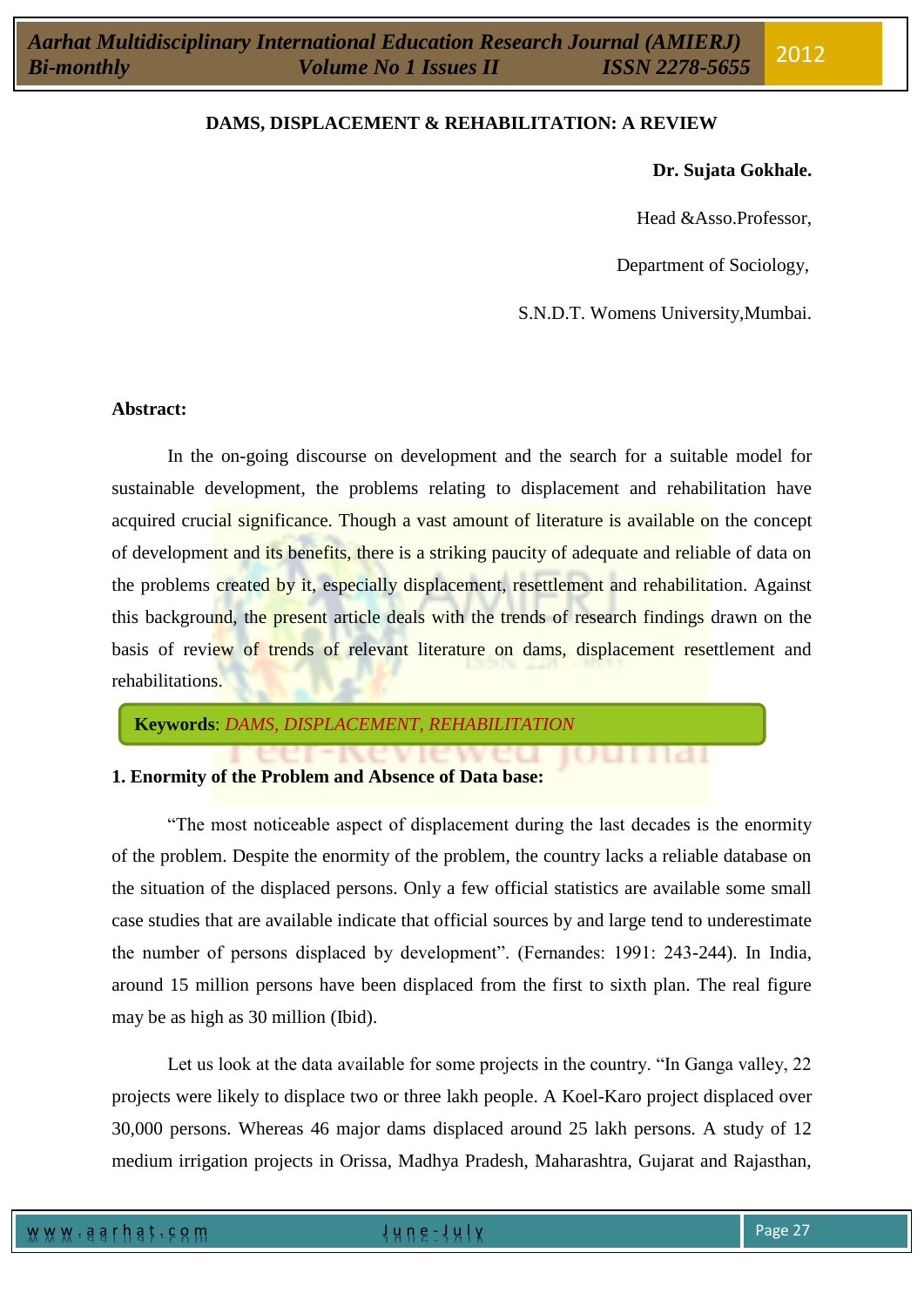## **Dr. Sujata Gokhale.**

Head &Asso.Professor,

Department of Sociology,

S.N.D.T. Womens University,Mumbai.

I GUNDA T

 $11611$ 

### **Abstract:**

In the on-going discourse on development and the search for a suitable model for sustainable development, the problems relating to displacement and rehabilitation have acquired crucial significance. Though a vast amount of literature is available on the concept of development and its benefits, there is a striking paucity of adequate and reliable of data on the problems created by it, especially displacement, resettlement and rehabilitation. Against this background, the present article deals with the trends of research findings drawn on the basis of review of trends of relevant literature on dams, displacement resettlement and rehabilitations.

**Keywords**: *DAMS, DISPLACEMENT, REHABILITATION*

# **1. Enormity of the Problem and Absence of Data base:**

"The most noticeable aspect of displacement during the last decades is the enormity of the problem. Despite the enormity of the problem, the country lacks a reliable database on the situation of the displaced persons. Only a few official statistics are available some small case studies that are available indicate that official sources by and large tend to underestimate the number of persons displaced by development". (Fernandes: 1991: 243-244). In India, around 15 million persons have been displaced from the first to sixth plan. The real figure may be as high as 30 million (Ibid).

Let us look at the data available for some projects in the country. "In Ganga valley, 22 projects were likely to displace two or three lakh people. A Koel-Karo project displaced over 30,000 persons. Whereas 46 major dams displaced around 25 lakh persons. A study of 12 medium irrigation projects in Orissa, Madhya Pradesh, Maharashtra, Gujarat and Rajasthan,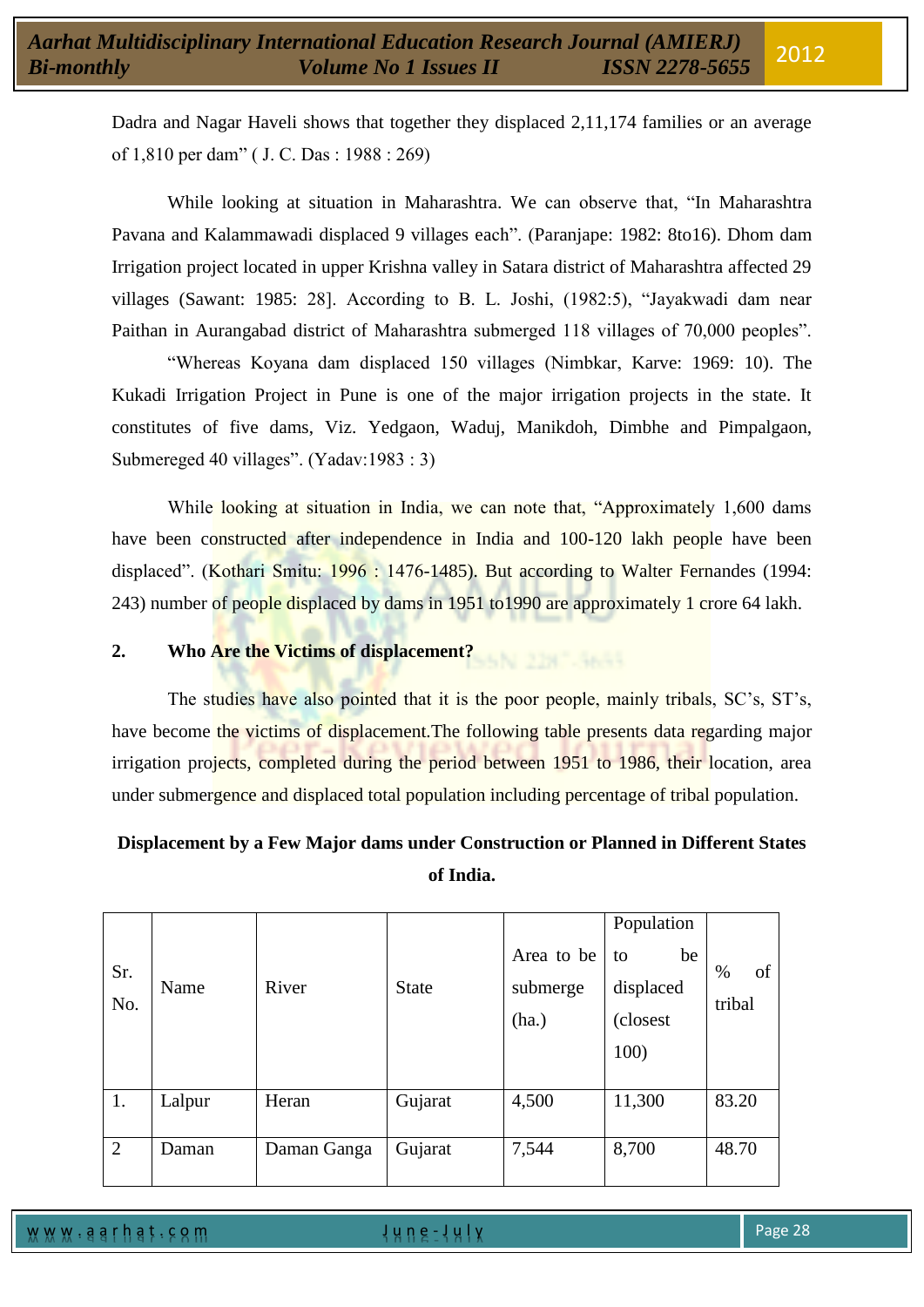Dadra and Nagar Haveli shows that together they displaced 2,11,174 families or an average of 1,810 per dam" ( J. C. Das : 1988 : 269)

While looking at situation in Maharashtra. We can observe that, "In Maharashtra Pavana and Kalammawadi displaced 9 villages each". (Paranjape: 1982: 8to16). Dhom dam Irrigation project located in upper Krishna valley in Satara district of Maharashtra affected 29 villages (Sawant: 1985: 28]. According to B. L. Joshi, (1982:5), "Jayakwadi dam near Paithan in Aurangabad district of Maharashtra submerged 118 villages of 70,000 peoples".

"Whereas Koyana dam displaced 150 villages (Nimbkar, Karve: 1969: 10). The Kukadi Irrigation Project in Pune is one of the major irrigation projects in the state. It constitutes of five dams, Viz. Yedgaon, Waduj, Manikdoh, Dimbhe and Pimpalgaon, Submereged 40 villages". (Yadav:1983 : 3)

While looking at situation in India, we can note that, "Approximately 1,600 dams" have been constructed after independence in India and 100-120 lakh people have been displaced". (Kothari Smitu: 1996 : 1476-1485). But according to Walter Fernandes (1994: 243) number of people displaced by dams in 1951 to 1990 are approximately 1 crore 64 lakh.

# **2. Who Are the Victims of displacement?**

The studies have also pointed that it is the poor people, mainly tribals, SC's, ST's, have become the victims of displacement. The following table presents data regarding major irrigation projects, completed during the period between 1951 to 1986, their location, area under submergence and displaced total population including percentage of tribal population.

# **Displacement by a Few Major dams under Construction or Planned in Different States of India.**

| Sr.<br>No. | Name   | River       | <b>State</b> | Area to be<br>submerge<br>(ha.) | Population<br>be<br>to<br>displaced<br>(closest)<br>100) | of<br>$\%$<br>tribal |
|------------|--------|-------------|--------------|---------------------------------|----------------------------------------------------------|----------------------|
| 1.         | Lalpur | Heran       | Gujarat      | 4,500                           | 11,300                                                   | 83.20                |
| 2          | Daman  | Daman Ganga | Gujarat      | 7,544                           | 8,700                                                    | 48.70                |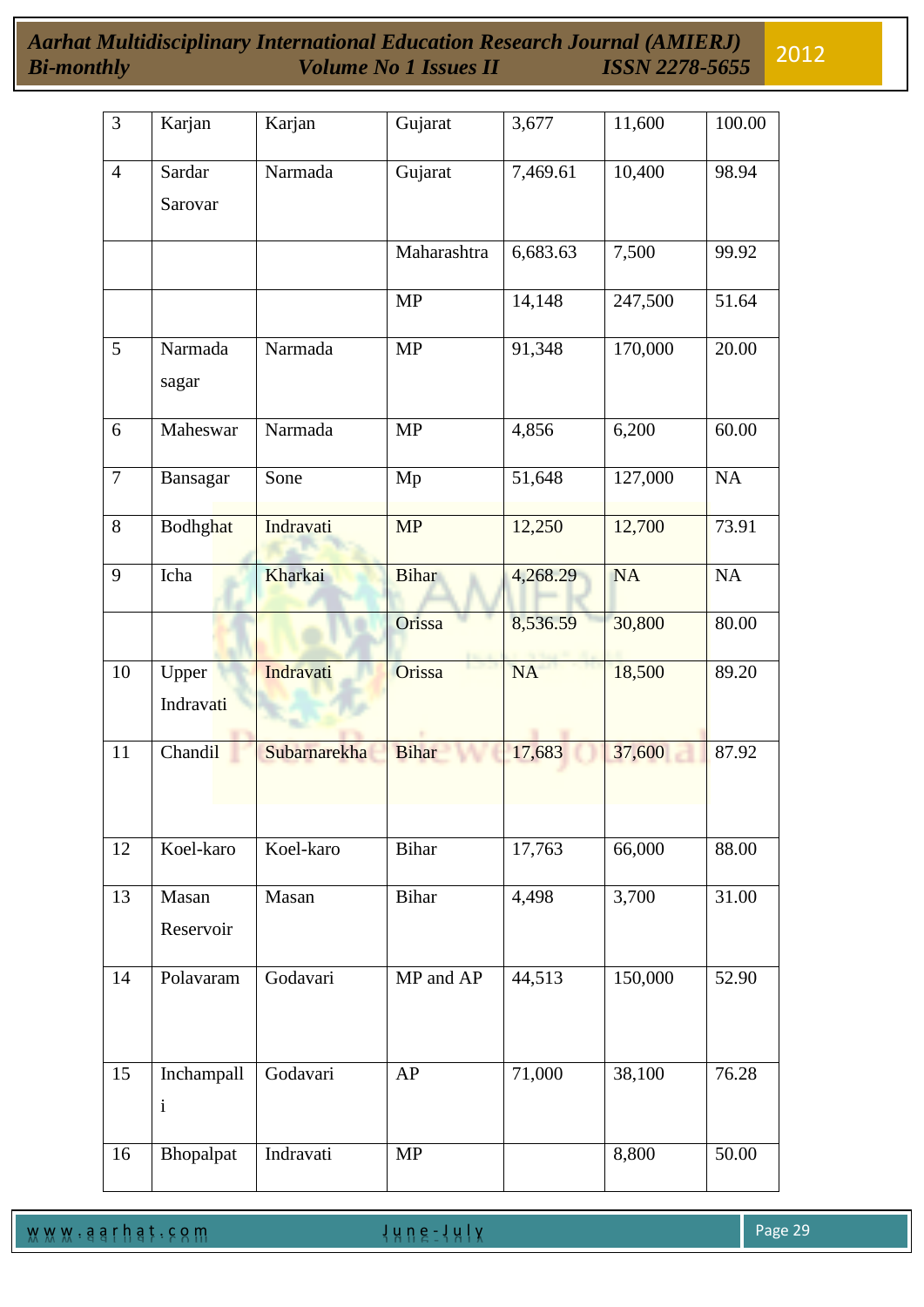*Aarhat Multidisciplinary International Education Research Journal (AMIERJ) Bi-monthly Volume No 1 Issues II ISSN 2278-5655* 2012

| $\overline{3}$ | Karjan          | Karjan       | Gujarat      | 3,677     | 11,600    | 100.00    |
|----------------|-----------------|--------------|--------------|-----------|-----------|-----------|
|                |                 |              |              |           |           |           |
| $\overline{4}$ | Sardar          | Narmada      | Gujarat      | 7,469.61  | 10,400    | 98.94     |
|                | Sarovar         |              |              |           |           |           |
|                |                 |              |              |           |           |           |
|                |                 |              | Maharashtra  | 6,683.63  | 7,500     | 99.92     |
|                |                 |              | <b>MP</b>    | 14,148    | 247,500   | 51.64     |
| 5              | Narmada         | Narmada      | <b>MP</b>    | 91,348    | 170,000   | 20.00     |
|                | sagar           |              |              |           |           |           |
| 6              | Maheswar        | Narmada      | <b>MP</b>    | 4,856     | 6,200     | 60.00     |
|                |                 |              |              |           |           |           |
| $\tau$         | Bansagar        | Sone         | Mp           | 51,648    | 127,000   | NA        |
| 8              | <b>Bodhghat</b> | Indravati    | <b>MP</b>    | 12,250    | 12,700    | 73.91     |
|                |                 |              |              |           |           |           |
| 9              | Icha            | Kharkai      | <b>Bihar</b> | 4,268.29  | <b>NA</b> | <b>NA</b> |
|                |                 |              | Orissa       | 8,536.59  | 30,800    | 80.00     |
| 10             | Upper           | Indravati    | Orissa       | <b>NA</b> | 18,500    | 89.20     |
|                | Indravati       |              |              |           |           |           |
| 11             | Chandil         | Subarnarekha | <b>Bihar</b> | 17,683    | 37,600    | 87.92     |
|                |                 |              |              |           |           |           |
|                |                 |              |              |           |           |           |
| 12             | Koel-karo       | Koel-karo    | <b>Bihar</b> | 17,763    | 66,000    | 88.00     |
| 13             | Masan           | Masan        | <b>Bihar</b> | 4,498     | 3,700     | 31.00     |
|                | Reservoir       |              |              |           |           |           |
|                |                 |              |              |           |           |           |
| 14             | Polavaram       | Godavari     | MP and AP    | 44,513    | 150,000   | 52.90     |
|                |                 |              |              |           |           |           |
|                |                 |              |              |           |           |           |
| 15             | Inchampall      | Godavari     | AP           | 71,000    | 38,100    | 76.28     |
|                | $\mathbf{i}$    |              |              |           |           |           |
|                |                 |              |              |           |           |           |
| 16             | Bhopalpat       | Indravati    | <b>MP</b>    |           | 8,800     | 50.00     |

w w w . a a r h a t . c o m a set of the set of the set of the set of the set of the set of the set of the set of the set of the set of the set of the set of the set of the set of the set of the set of the set of the set o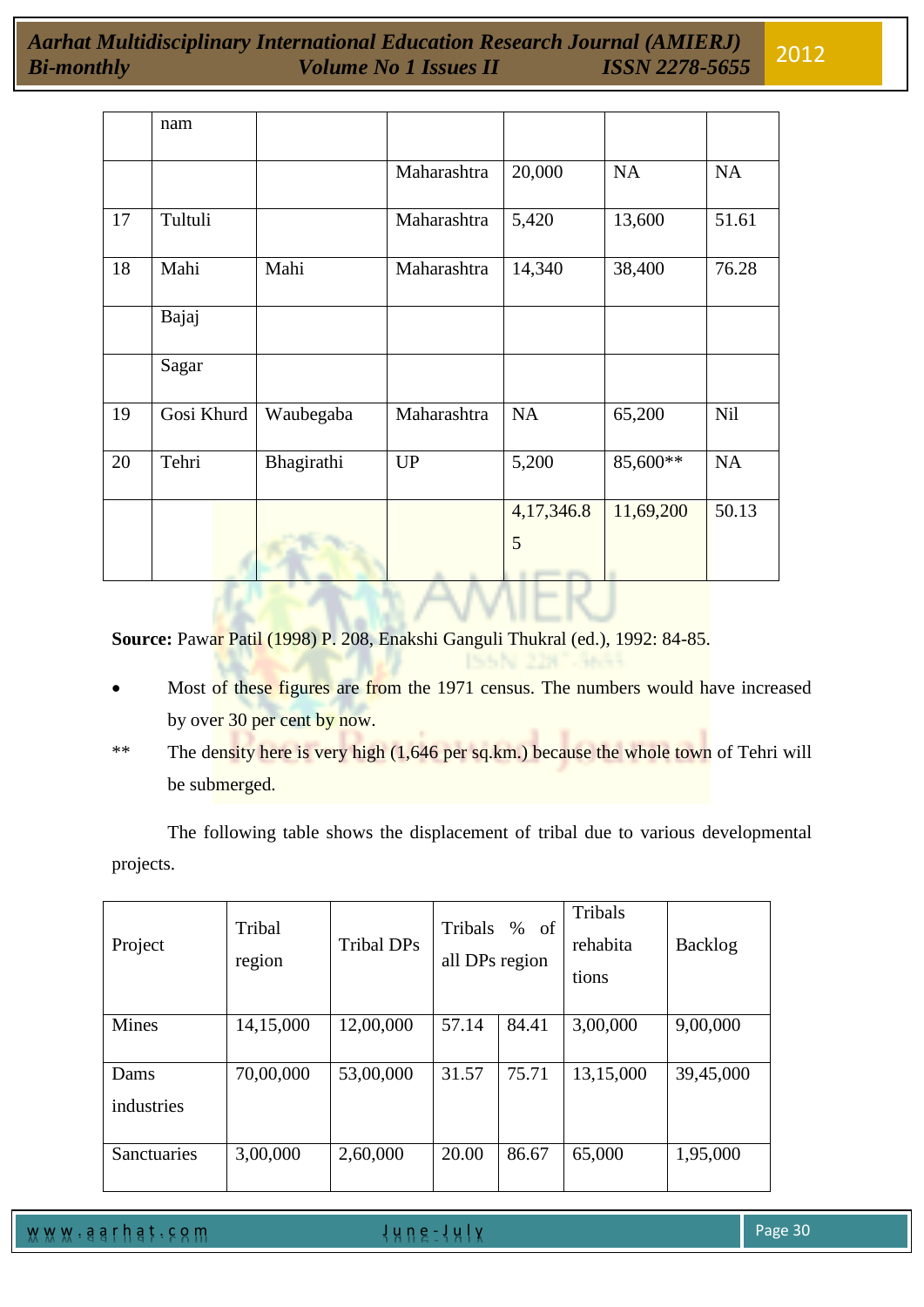|    | nam        |            |             |            |           |           |
|----|------------|------------|-------------|------------|-----------|-----------|
|    |            |            | Maharashtra | 20,000     | NA        | <b>NA</b> |
| 17 | Tultuli    |            | Maharashtra | 5,420      | 13,600    | 51.61     |
| 18 | Mahi       | Mahi       | Maharashtra | 14,340     | 38,400    | 76.28     |
|    | Bajaj      |            |             |            |           |           |
|    | Sagar      |            |             |            |           |           |
| 19 | Gosi Khurd | Waubegaba  | Maharashtra | <b>NA</b>  | 65,200    | Nil       |
| 20 | Tehri      | Bhagirathi | <b>UP</b>   | 5,200      | 85,600**  | <b>NA</b> |
|    |            |            |             | 4,17,346.8 | 11,69,200 | 50.13     |
|    |            |            |             | 5          |           |           |

**Source:** Pawar Patil (1998) P. 208, Enakshi Ganguli Thukral (ed.), 1992: 84-85.

- Most of these figures are from the 1971 census. The numbers would have increased by over 30 per cent by now.
- \*\* The density here is very high (1,646 per sq.km.) because the whole town of Tehri will be submerged.

The following table shows the displacement of tribal due to various developmental projects.

| Project            | Tribal<br>region | Tribal DPs | Tribals<br>all DPs region | <sub>of</sub><br>$\%$ | Tribals<br>rehabita<br>tions | <b>Backlog</b> |
|--------------------|------------------|------------|---------------------------|-----------------------|------------------------------|----------------|
| Mines              | 14,15,000        | 12,00,000  | 57.14                     | 84.41                 | 3,00,000                     | 9,00,000       |
| Dams<br>industries | 70,00,000        | 53,00,000  | 31.57                     | 75.71                 | 13,15,000                    | 39,45,000      |
| Sanctuaries        | 3,00,000         | 2,60,000   | 20.00                     | 86.67                 | 65,000                       | 1,95,000       |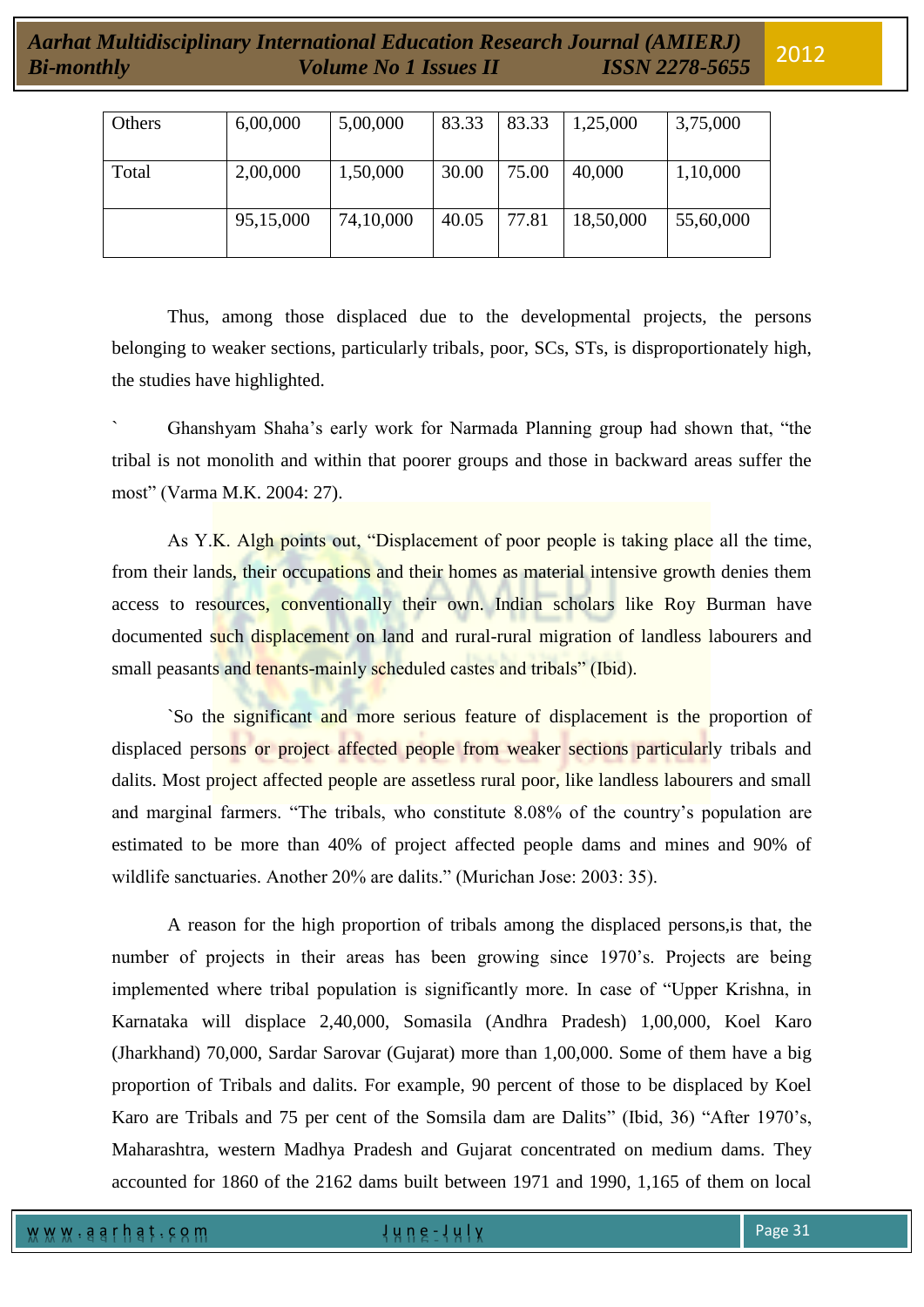| Others | 6,00,000  | 5,00,000  | 83.33 | 83.33 | 1,25,000  | 3,75,000  |
|--------|-----------|-----------|-------|-------|-----------|-----------|
| Total  | 2,00,000  | 1,50,000  | 30.00 | 75.00 | 40,000    | 1,10,000  |
|        | 95,15,000 | 74,10,000 | 40.05 | 77.81 | 18,50,000 | 55,60,000 |

Thus, among those displaced due to the developmental projects, the persons belonging to weaker sections, particularly tribals, poor, SCs, STs, is disproportionately high, the studies have highlighted.

` Ghanshyam Shaha"s early work for Narmada Planning group had shown that, "the tribal is not monolith and within that poorer groups and those in backward areas suffer the most" (Varma M.K. 2004: 27).

As Y.K. Algh points out, "Displacement of poor people is taking place all the time, from their lands, their occupations and their homes as material intensive growth denies them access to resources, conventionally their own. Indian scholars like Roy Burman have documented such displacement on land and rural-rural migration of landless labourers and small peasants and tenants-mainly scheduled castes and tribals" (Ibid).

`So the significant and more serious feature of displacement is the proportion of displaced persons or project affected people from weaker sections particularly tribals and dalits. Most project affected people are assetless rural poor, like landless labourers and small and marginal farmers. "The tribals, who constitute 8.08% of the country"s population are estimated to be more than 40% of project affected people dams and mines and 90% of wildlife sanctuaries. Another 20% are dalits." (Murichan Jose: 2003: 35).

A reason for the high proportion of tribals among the displaced persons,is that, the number of projects in their areas has been growing since 1970's. Projects are being implemented where tribal population is significantly more. In case of "Upper Krishna, in Karnataka will displace 2,40,000, Somasila (Andhra Pradesh) 1,00,000, Koel Karo (Jharkhand) 70,000, Sardar Sarovar (Gujarat) more than 1,00,000. Some of them have a big proportion of Tribals and dalits. For example, 90 percent of those to be displaced by Koel Karo are Tribals and 75 per cent of the Somsila dam are Dalits" (Ibid, 36) "After 1970"s, Maharashtra, western Madhya Pradesh and Gujarat concentrated on medium dams. They accounted for 1860 of the 2162 dams built between 1971 and 1990, 1,165 of them on local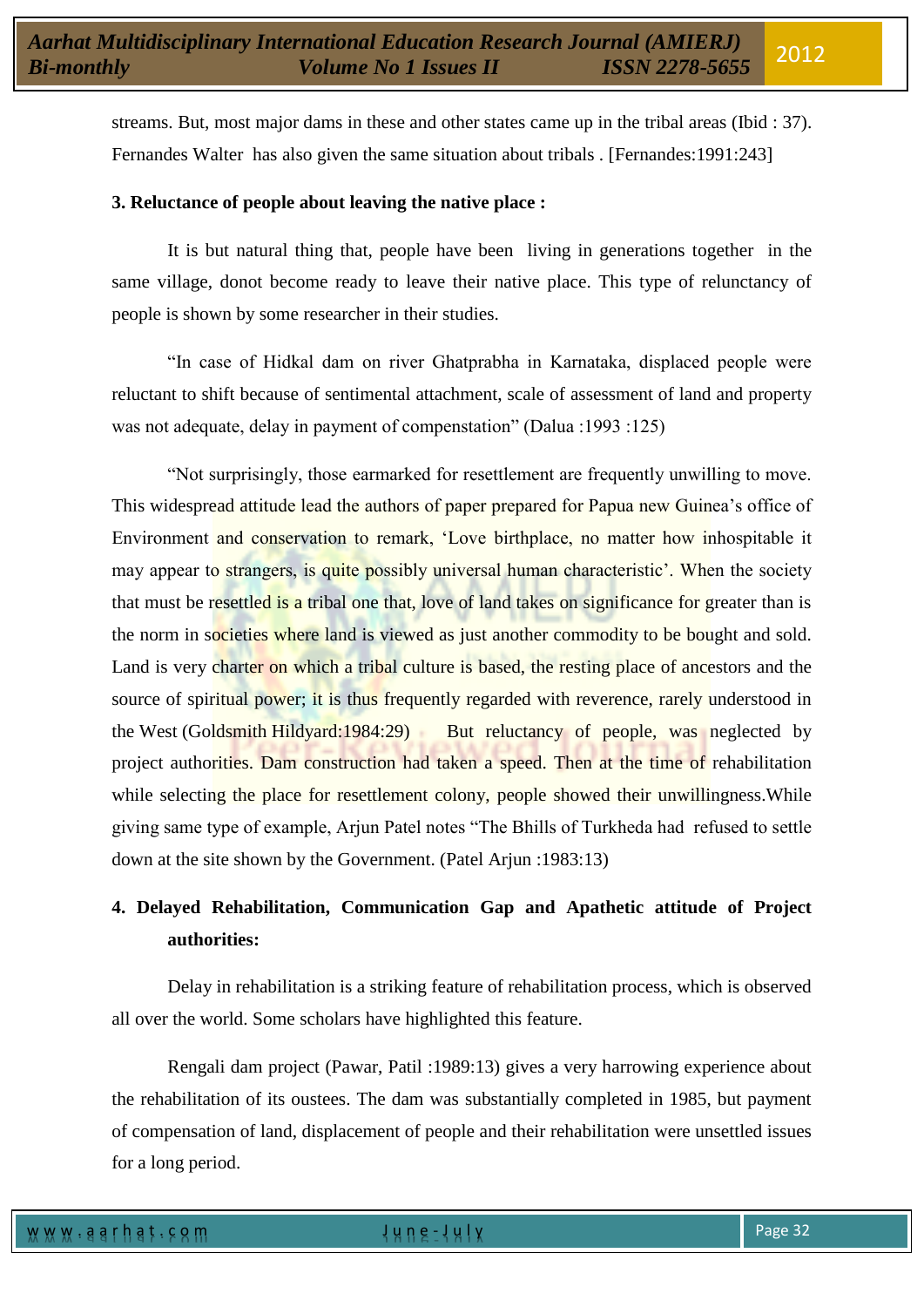streams. But, most major dams in these and other states came up in the tribal areas (Ibid : 37). Fernandes Walter has also given the same situation about tribals . [Fernandes:1991:243]

# **3. Reluctance of people about leaving the native place :**

It is but natural thing that, people have been living in generations together in the same village, donot become ready to leave their native place. This type of relunctancy of people is shown by some researcher in their studies.

"In case of Hidkal dam on river Ghatprabha in Karnataka, displaced people were reluctant to shift because of sentimental attachment, scale of assessment of land and property was not adequate, delay in payment of compenstation" (Dalua :1993 :125)

"Not surprisingly, those earmarked for resettlement are frequently unwilling to move. This widespread attitude lead the authors of paper prepared for Papua new Guinea"s office of Environment and conservation to remark, "Love birthplace, no matter how inhospitable it may appear to strangers, is quite possibly universal human characteristic'. When the society that must be resettled is a tribal one that, love of land takes on significance for greater than is the norm in societies where land is viewed as just another commodity to be bought and sold. Land is very charter on which a tribal culture is based, the resting place of ancestors and the source of spiritual power; it is thus frequently regarded with reverence, rarely understood in the West (Goldsmith Hildyard:1984:29) But reluctancy of people, was neglected by project authorities. Dam construction had taken a speed. Then at the time of rehabilitation while selecting the place for resettlement colony, people showed their unwillingness. While giving same type of example, Arjun Patel notes "The Bhills of Turkheda had refused to settle down at the site shown by the Government. (Patel Arjun :1983:13)

# **4. Delayed Rehabilitation, Communication Gap and Apathetic attitude of Project authorities:**

Delay in rehabilitation is a striking feature of rehabilitation process, which is observed all over the world. Some scholars have highlighted this feature.

Rengali dam project (Pawar, Patil :1989:13) gives a very harrowing experience about the rehabilitation of its oustees. The dam was substantially completed in 1985, but payment of compensation of land, displacement of people and their rehabilitation were unsettled issues for a long period.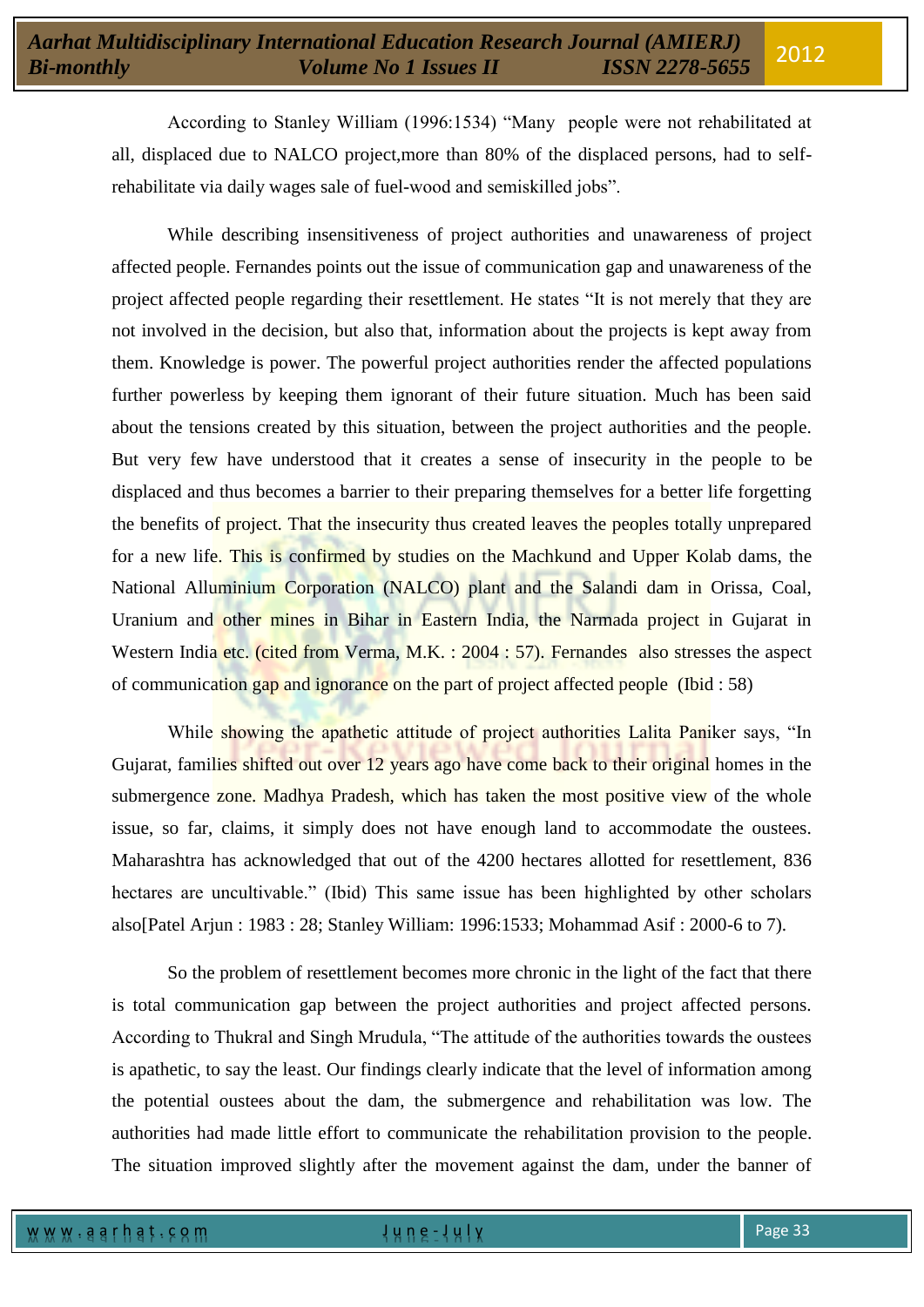According to Stanley William (1996:1534) "Many people were not rehabilitated at all, displaced due to NALCO project,more than 80% of the displaced persons, had to selfrehabilitate via daily wages sale of fuel-wood and semiskilled jobs".

While describing insensitiveness of project authorities and unawareness of project affected people. Fernandes points out the issue of communication gap and unawareness of the project affected people regarding their resettlement. He states "It is not merely that they are not involved in the decision, but also that, information about the projects is kept away from them. Knowledge is power. The powerful project authorities render the affected populations further powerless by keeping them ignorant of their future situation. Much has been said about the tensions created by this situation, between the project authorities and the people. But very few have understood that it creates a sense of insecurity in the people to be displaced and thus becomes a barrier to their preparing themselves for a better life forgetting the benefits of project. That the insecurity thus created leaves the peoples totally unprepared for a new life. This is confirmed by studies on the Machkund and Upper Kolab dams, the National Alluminium Corporation (NALCO) plant and the Salandi dam in Orissa, Coal, Uranium and other mines in Bihar in Eastern India, the Narmada project in Gujarat in Western India etc. (cited from Verma, M.K. : 2004 : 57). Fernandes also stresses the aspect of communication gap and ignorance on the part of project affected people (Ibid : 58)

While showing the apathetic attitude of project authorities Lalita Paniker says, "In Gujarat, families shifted out over 12 years ago have come back to their original homes in the submergence zone. Madhya Pradesh, which has taken the most positive view of the whole issue, so far, claims, it simply does not have enough land to accommodate the oustees. Maharashtra has acknowledged that out of the 4200 hectares allotted for resettlement, 836 hectares are uncultivable." (Ibid) This same issue has been highlighted by other scholars also[Patel Arjun : 1983 : 28; Stanley William: 1996:1533; Mohammad Asif : 2000-6 to 7).

So the problem of resettlement becomes more chronic in the light of the fact that there is total communication gap between the project authorities and project affected persons. According to Thukral and Singh Mrudula, "The attitude of the authorities towards the oustees is apathetic, to say the least. Our findings clearly indicate that the level of information among the potential oustees about the dam, the submergence and rehabilitation was low. The authorities had made little effort to communicate the rehabilitation provision to the people. The situation improved slightly after the movement against the dam, under the banner of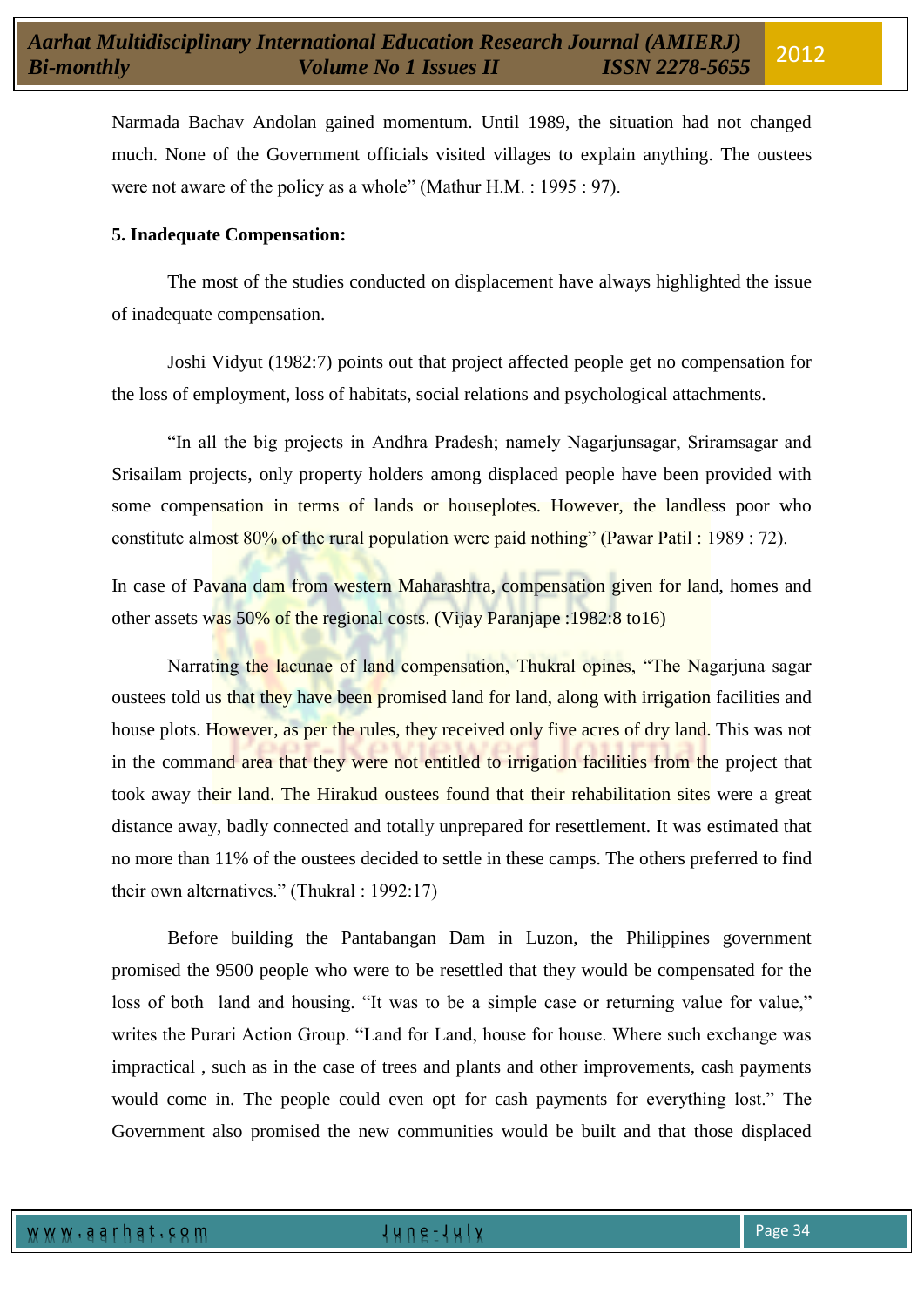Narmada Bachav Andolan gained momentum. Until 1989, the situation had not changed much. None of the Government officials visited villages to explain anything. The oustees were not aware of the policy as a whole" (Mathur H.M. : 1995 : 97).

# **5. Inadequate Compensation:**

The most of the studies conducted on displacement have always highlighted the issue of inadequate compensation.

Joshi Vidyut (1982:7) points out that project affected people get no compensation for the loss of employment, loss of habitats, social relations and psychological attachments.

"In all the big projects in Andhra Pradesh; namely Nagarjunsagar, Sriramsagar and Srisailam projects, only property holders among displaced people have been provided with some compensation in terms of lands or houseplotes. However, the landless poor who constitute almost 80% of the rural population were paid nothing" (Pawar Patil : 1989 : 72).

In case of Pavana dam from western Maharashtra, compensation given for land, homes and other assets was 50% of the regional costs. (Vijay Paranjape :1982:8 to16)

Narrating the lacunae of land compensation, Thukral opines, "The Nagarjuna sagar oustees told us that they have been promised land for land, along with irrigation facilities and house plots. However, as per the rules, they received only five acres of dry land. This was not in the command area that they were not entitled to irrigation facilities from the project that took away their land. The Hirakud oustees found that their rehabilitation sites were a great distance away, badly connected and totally unprepared for resettlement. It was estimated that no more than 11% of the oustees decided to settle in these camps. The others preferred to find their own alternatives." (Thukral : 1992:17)

Before building the Pantabangan Dam in Luzon, the Philippines government promised the 9500 people who were to be resettled that they would be compensated for the loss of both land and housing. "It was to be a simple case or returning value for value," writes the Purari Action Group. "Land for Land, house for house. Where such exchange was impractical , such as in the case of trees and plants and other improvements, cash payments would come in. The people could even opt for cash payments for everything lost." The Government also promised the new communities would be built and that those displaced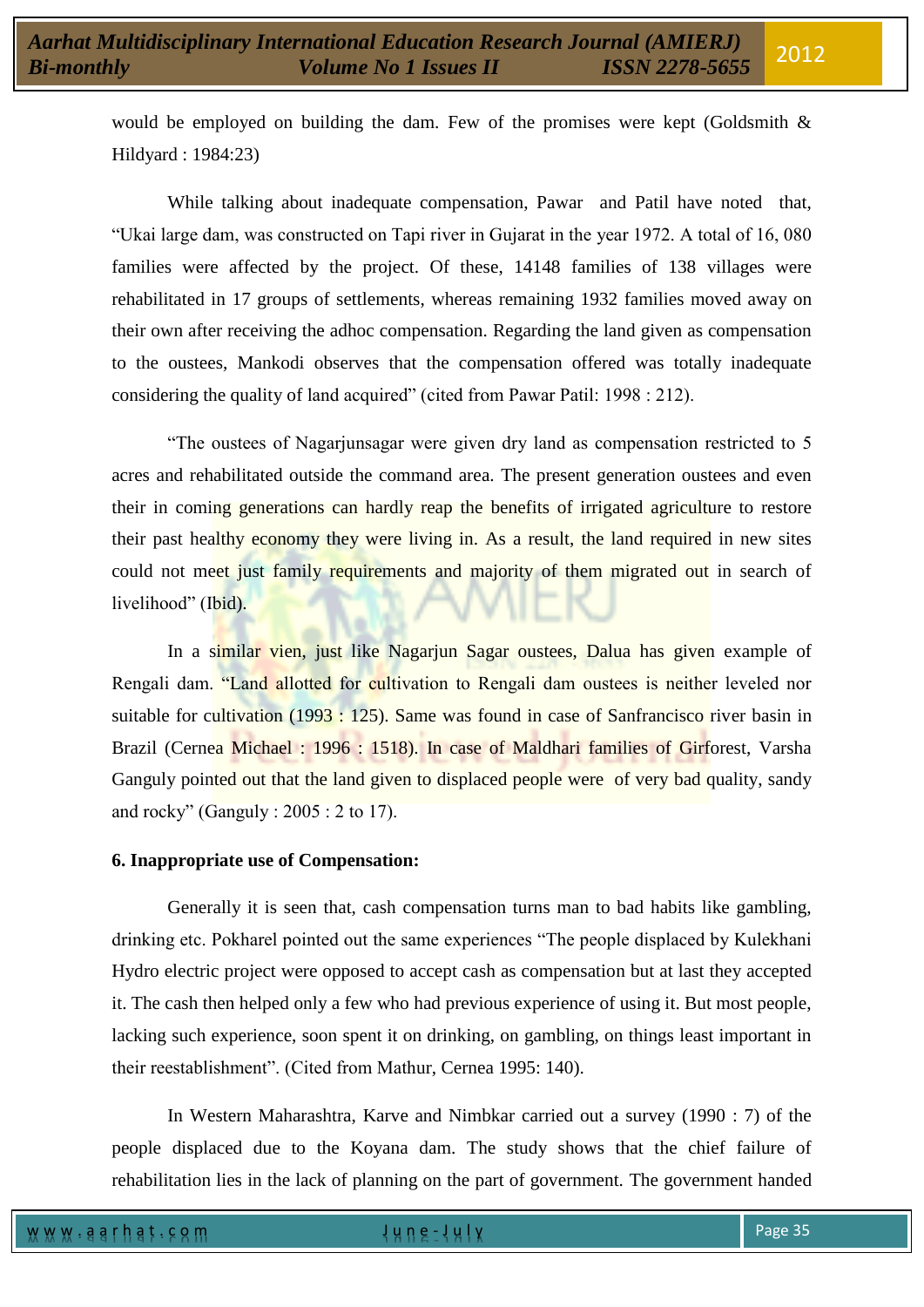would be employed on building the dam. Few of the promises were kept (Goldsmith & Hildyard : 1984:23)

While talking about inadequate compensation, Pawar and Patil have noted that, "Ukai large dam, was constructed on Tapi river in Gujarat in the year 1972. A total of 16, 080 families were affected by the project. Of these, 14148 families of 138 villages were rehabilitated in 17 groups of settlements, whereas remaining 1932 families moved away on their own after receiving the adhoc compensation. Regarding the land given as compensation to the oustees, Mankodi observes that the compensation offered was totally inadequate considering the quality of land acquired" (cited from Pawar Patil: 1998 : 212).

"The oustees of Nagarjunsagar were given dry land as compensation restricted to 5 acres and rehabilitated outside the command area. The present generation oustees and even their in coming generations can hardly reap the benefits of irrigated agriculture to restore their past healthy economy they were living in. As a result, the land required in new sites could not meet just family requirements and majority of them migrated out in search of livelihood" (Ibid).

In a similar vien, just like Nagarjun Sagar oustees, Dalua has given example of Rengali dam. "Land allotted for cultivation to Rengali dam oustees is neither leveled nor suitable for cultivation (1993 : 125). Same was found in case of Sanfrancisco river basin in Brazil (Cernea Michael : 1996 : 1518). In case of Maldhari families of Girforest, Varsha Ganguly pointed out that the land given to displaced people were of very bad quality, sandy and rocky" (Ganguly : 2005 : 2 to 17).

# **6. Inappropriate use of Compensation:**

Generally it is seen that, cash compensation turns man to bad habits like gambling, drinking etc. Pokharel pointed out the same experiences "The people displaced by Kulekhani Hydro electric project were opposed to accept cash as compensation but at last they accepted it. The cash then helped only a few who had previous experience of using it. But most people, lacking such experience, soon spent it on drinking, on gambling, on things least important in their reestablishment". (Cited from Mathur, Cernea 1995: 140).

In Western Maharashtra, Karve and Nimbkar carried out a survey (1990 : 7) of the people displaced due to the Koyana dam. The study shows that the chief failure of rehabilitation lies in the lack of planning on the part of government. The government handed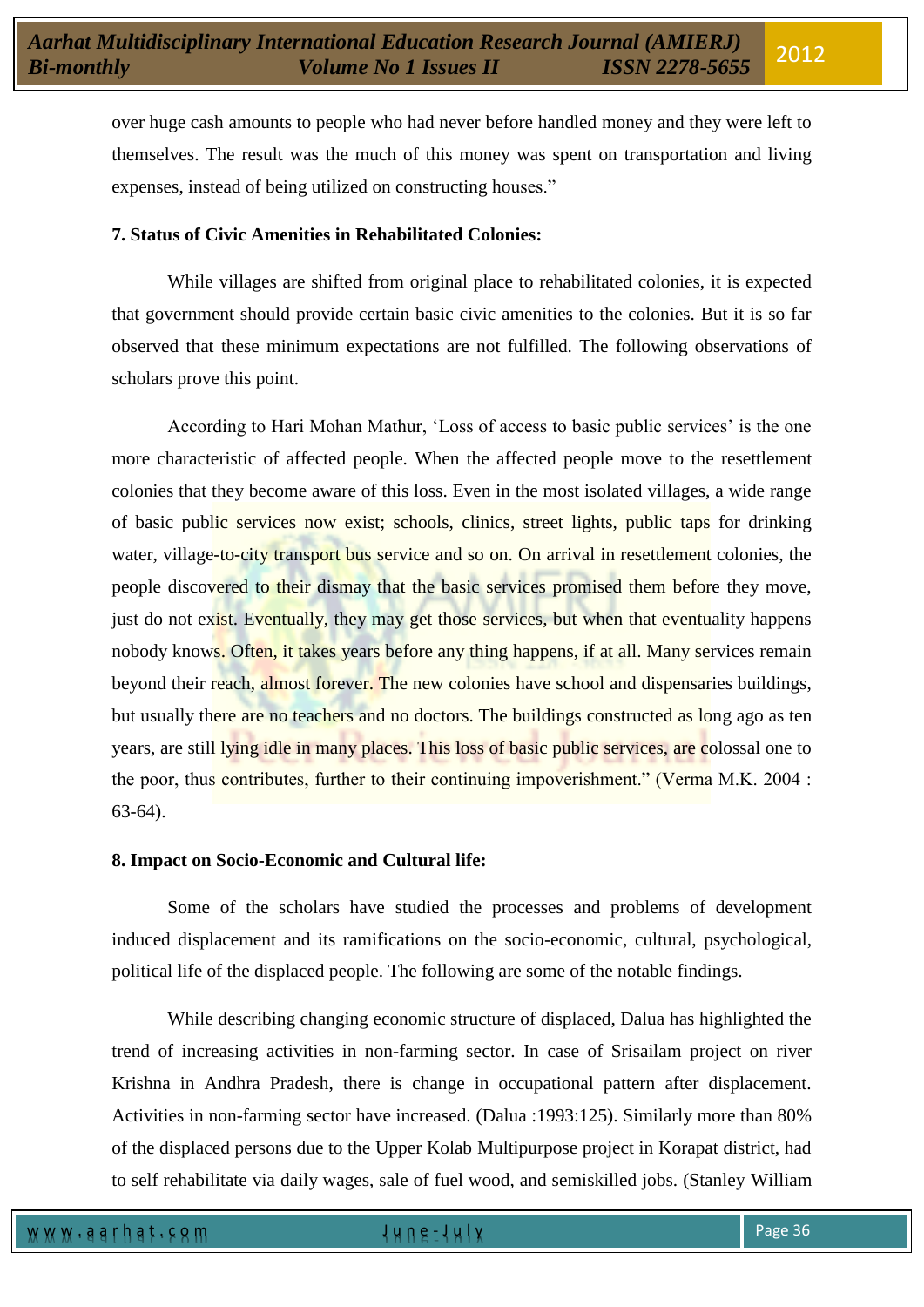over huge cash amounts to people who had never before handled money and they were left to themselves. The result was the much of this money was spent on transportation and living expenses, instead of being utilized on constructing houses."

# **7. Status of Civic Amenities in Rehabilitated Colonies:**

While villages are shifted from original place to rehabilitated colonies, it is expected that government should provide certain basic civic amenities to the colonies. But it is so far observed that these minimum expectations are not fulfilled. The following observations of scholars prove this point.

According to Hari Mohan Mathur, 'Loss of access to basic public services' is the one more characteristic of affected people. When the affected people move to the resettlement colonies that they become aware of this loss. Even in the most isolated villages, a wide range of basic public services now exist; schools, clinics, street lights, public taps for drinking water, village-to-city transport bus service and so on. On arrival in resettlement colonies, the people discovered to their dismay that the basic services promised them before they move, just do not exist. Eventually, they may get those services, but when that eventuality happens nobody knows. Often, it takes years before any thing happens, if at all. Many services remain beyond their reach, almost forever. The new colonies have school and dispensaries buildings, but usually there are no teachers and no doctors. The buildings constructed as long ago as ten years, are still lying idle in many places. This loss of basic public services, are colossal one to the poor, thus contributes, further to their continuing impoverishment." (Verma M.K. 2004 : 63-64).

### **8. Impact on Socio-Economic and Cultural life:**

Some of the scholars have studied the processes and problems of development induced displacement and its ramifications on the socio-economic, cultural, psychological, political life of the displaced people. The following are some of the notable findings.

While describing changing economic structure of displaced, Dalua has highlighted the trend of increasing activities in non-farming sector. In case of Srisailam project on river Krishna in Andhra Pradesh, there is change in occupational pattern after displacement. Activities in non-farming sector have increased. (Dalua :1993:125). Similarly more than 80% of the displaced persons due to the Upper Kolab Multipurpose project in Korapat district, had to self rehabilitate via daily wages, sale of fuel wood, and semiskilled jobs. (Stanley William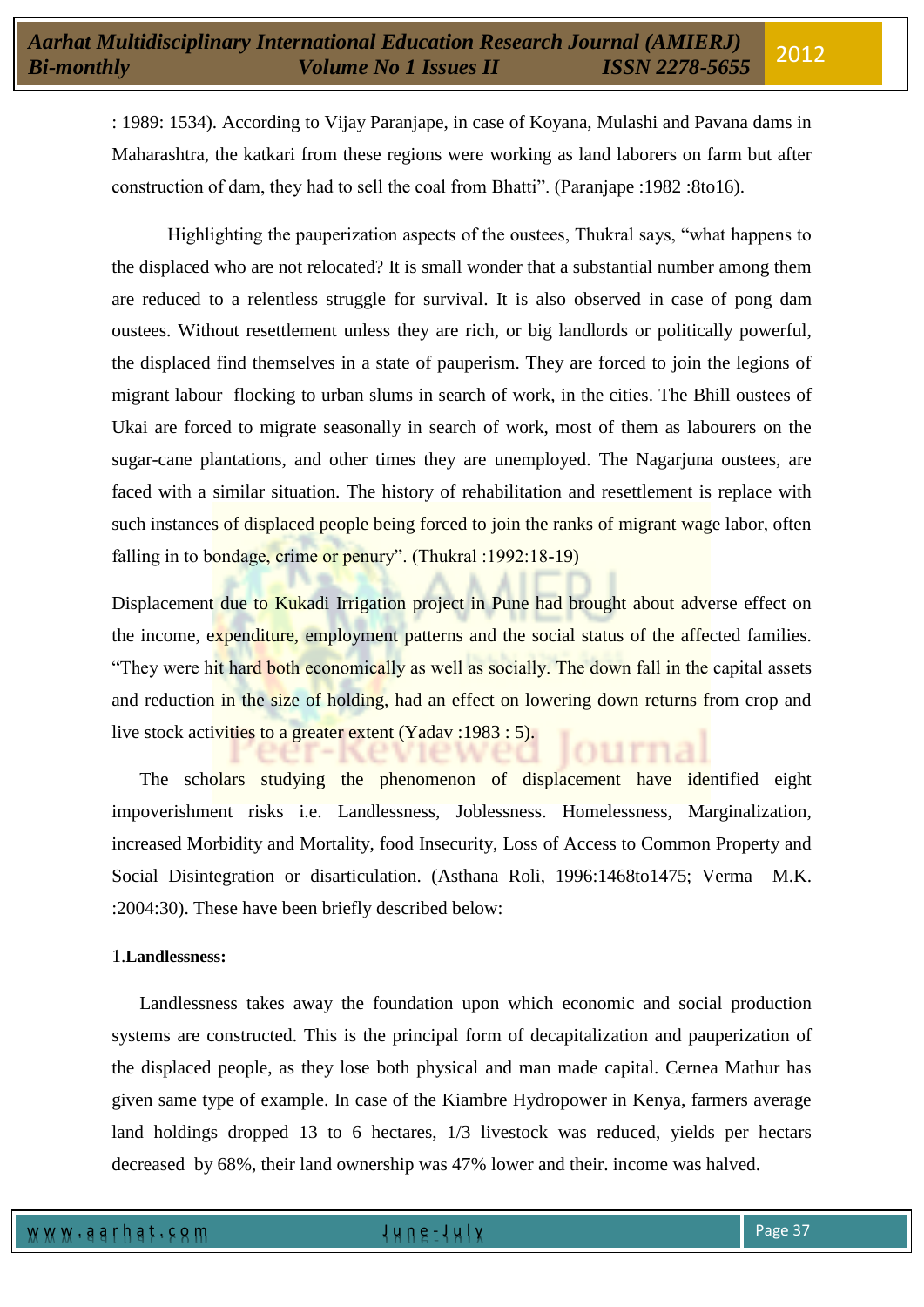: 1989: 1534). According to Vijay Paranjape, in case of Koyana, Mulashi and Pavana dams in Maharashtra, the katkari from these regions were working as land laborers on farm but after construction of dam, they had to sell the coal from Bhatti". (Paranjape :1982 :8to16).

Highlighting the pauperization aspects of the oustees, Thukral says, "what happens to the displaced who are not relocated? It is small wonder that a substantial number among them are reduced to a relentless struggle for survival. It is also observed in case of pong dam oustees. Without resettlement unless they are rich, or big landlords or politically powerful, the displaced find themselves in a state of pauperism. They are forced to join the legions of migrant labour flocking to urban slums in search of work, in the cities. The Bhill oustees of Ukai are forced to migrate seasonally in search of work, most of them as labourers on the sugar-cane plantations, and other times they are unemployed. The Nagarjuna oustees, are faced with a similar situation. The history of rehabilitation and resettlement is replace with such instances of displaced people being forced to join the ranks of migrant wage labor, often falling in to bondage, crime or penury". (Thukral : 1992: 18-19)

Displacement due to Kukadi Irrigation project in Pune had brought about adverse effect on the income, expenditure, employment patterns and the social status of the affected families. "They were hit hard both economically as well as socially. The down fall in the capital assets and reduction in the size of holding, had an effect on lowering down returns from crop and live stock activities to a greater extent (Yadav :1983 : 5).

The scholars studying the phenomenon of displacement have identified eight impoverishment risks i.e. Landlessness, Joblessness. Homelessness, Marginalization, increased Morbidity and Mortality, food Insecurity, Loss of Access to Common Property and Social Disintegration or disarticulation. (Asthana Roli, 1996:1468to1475; Verma M.K. :2004:30). These have been briefly described below:

### 1.**Landlessness:**

Landlessness takes away the foundation upon which economic and social production systems are constructed. This is the principal form of decapitalization and pauperization of the displaced people, as they lose both physical and man made capital. Cernea Mathur has given same type of example. In case of the Kiambre Hydropower in Kenya, farmers average land holdings dropped 13 to 6 hectares, 1/3 livestock was reduced, yields per hectars decreased by 68%, their land ownership was 47% lower and their. income was halved.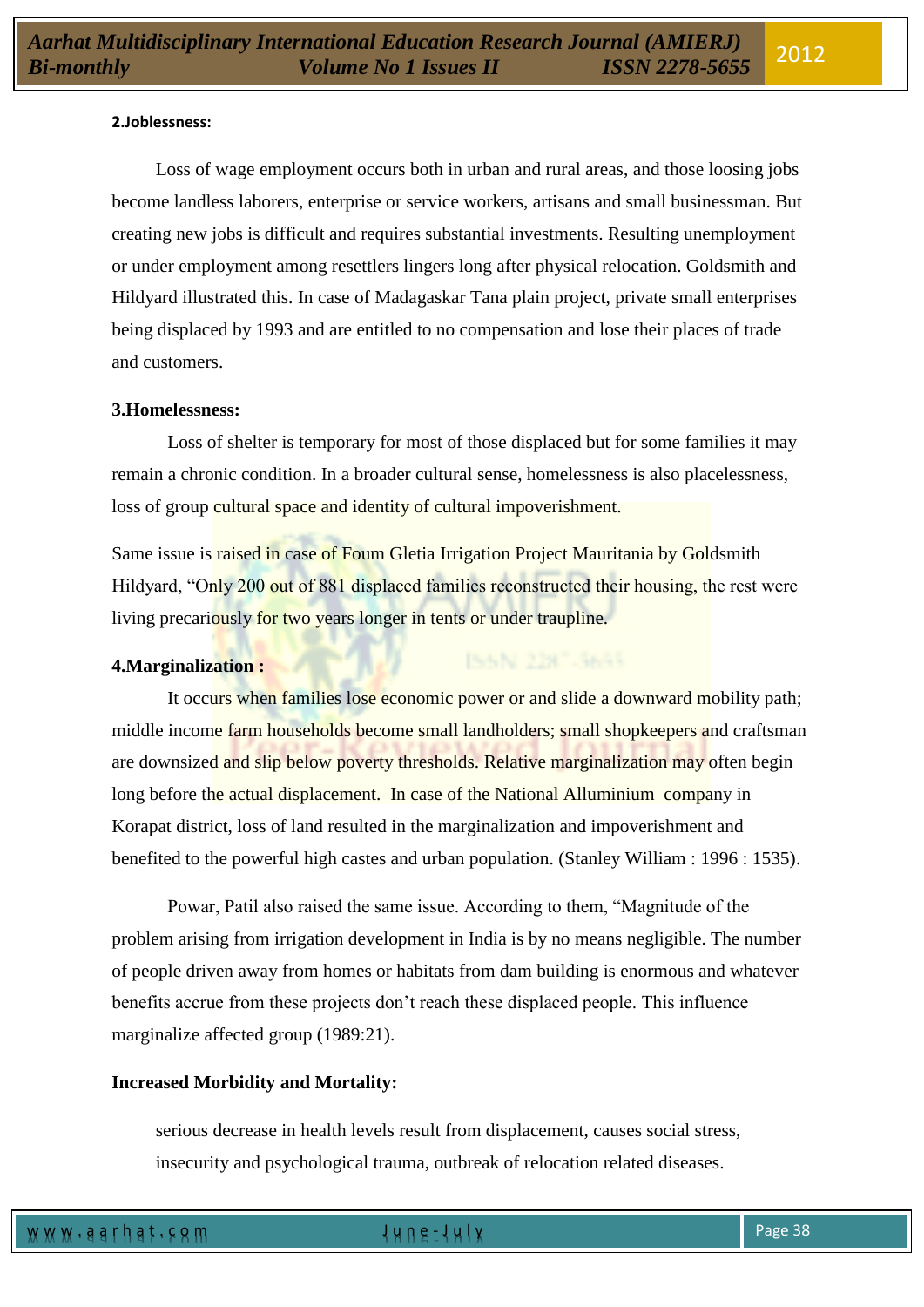### **2.Joblessness:**

Loss of wage employment occurs both in urban and rural areas, and those loosing jobs become landless laborers, enterprise or service workers, artisans and small businessman. But creating new jobs is difficult and requires substantial investments. Resulting unemployment or under employment among resettlers lingers long after physical relocation. Goldsmith and Hildyard illustrated this. In case of Madagaskar Tana plain project, private small enterprises being displaced by 1993 and are entitled to no compensation and lose their places of trade and customers.

### **3.Homelessness:**

Loss of shelter is temporary for most of those displaced but for some families it may remain a chronic condition. In a broader cultural sense, homelessness is also placelessness, loss of group cultural space and identity of cultural impoverishment.

Same issue is raised in case of Foum Gletia Irrigation Project Mauritania by Goldsmith Hildyard, "Only 200 out of 881 displaced families reconstructed their housing, the rest were living precariously for two years longer in tents or under traupline.

#### **4.Marginalization :**

It occurs when families lose economic power or and slide a downward mobility path; middle income farm households become small landholders; small shopkeepers and craftsman are downsized and slip below poverty thresholds. Relative marginalization may often begin long before the actual displacement. In case of the National Alluminium company in Korapat district, loss of land resulted in the marginalization and impoverishment and benefited to the powerful high castes and urban population. (Stanley William : 1996 : 1535).

Powar, Patil also raised the same issue. According to them, "Magnitude of the problem arising from irrigation development in India is by no means negligible. The number of people driven away from homes or habitats from dam building is enormous and whatever benefits accrue from these projects don"t reach these displaced people. This influence marginalize affected group (1989:21).

### **Increased Morbidity and Mortality:**

serious decrease in health levels result from displacement, causes social stress, insecurity and psychological trauma, outbreak of relocation related diseases.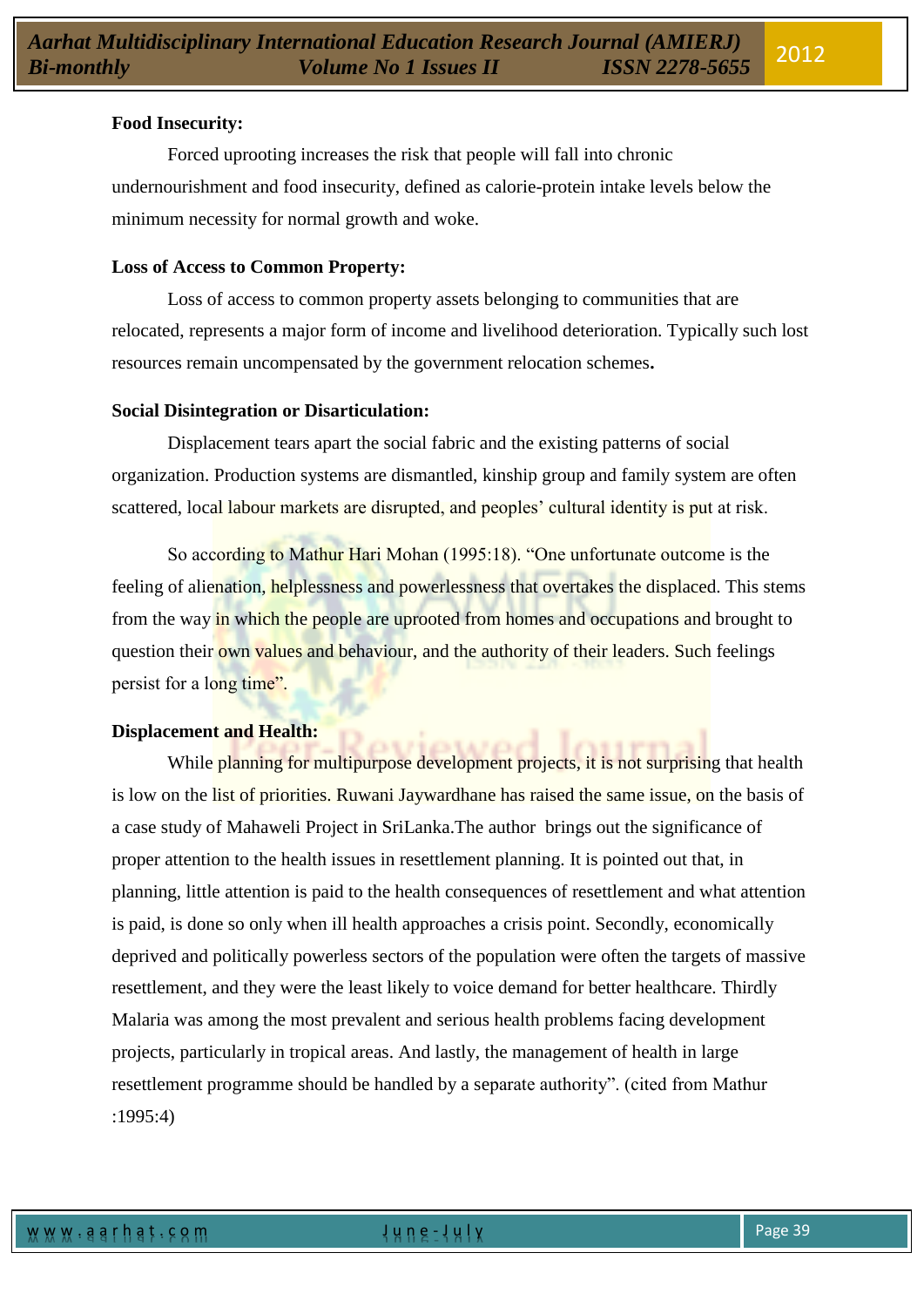## **Food Insecurity:**

Forced uprooting increases the risk that people will fall into chronic undernourishment and food insecurity, defined as calorie-protein intake levels below the minimum necessity for normal growth and woke.

### **Loss of Access to Common Property:**

Loss of access to common property assets belonging to communities that are relocated, represents a major form of income and livelihood deterioration. Typically such lost resources remain uncompensated by the government relocation schemes**.** 

## **Social Disintegration or Disarticulation:**

Displacement tears apart the social fabric and the existing patterns of social organization. Production systems are dismantled, kinship group and family system are often scattered, local labour markets are disrupted, and peoples' cultural identity is put at risk.

So according to Mathur Hari Mohan (1995:18). "One unfortunate outcome is the feeling of alienation, helplessness and powerlessness that overtakes the displaced. This stems from the way in which the people are uprooted from homes and occupations and brought to question their own values and behaviour, and the authority of their leaders. Such feelings persist for a long time".

# **Displacement and Health:**

While planning for multipurpose development projects, it is not surprising that health is low on the list of priorities. Ruwani Jaywardhane has raised the same issue, on the basis of a case study of Mahaweli Project in SriLanka.The author brings out the significance of proper attention to the health issues in resettlement planning. It is pointed out that, in planning, little attention is paid to the health consequences of resettlement and what attention is paid, is done so only when ill health approaches a crisis point. Secondly, economically deprived and politically powerless sectors of the population were often the targets of massive resettlement, and they were the least likely to voice demand for better healthcare. Thirdly Malaria was among the most prevalent and serious health problems facing development projects, particularly in tropical areas. And lastly, the management of health in large resettlement programme should be handled by a separate authority". (cited from Mathur :1995:4)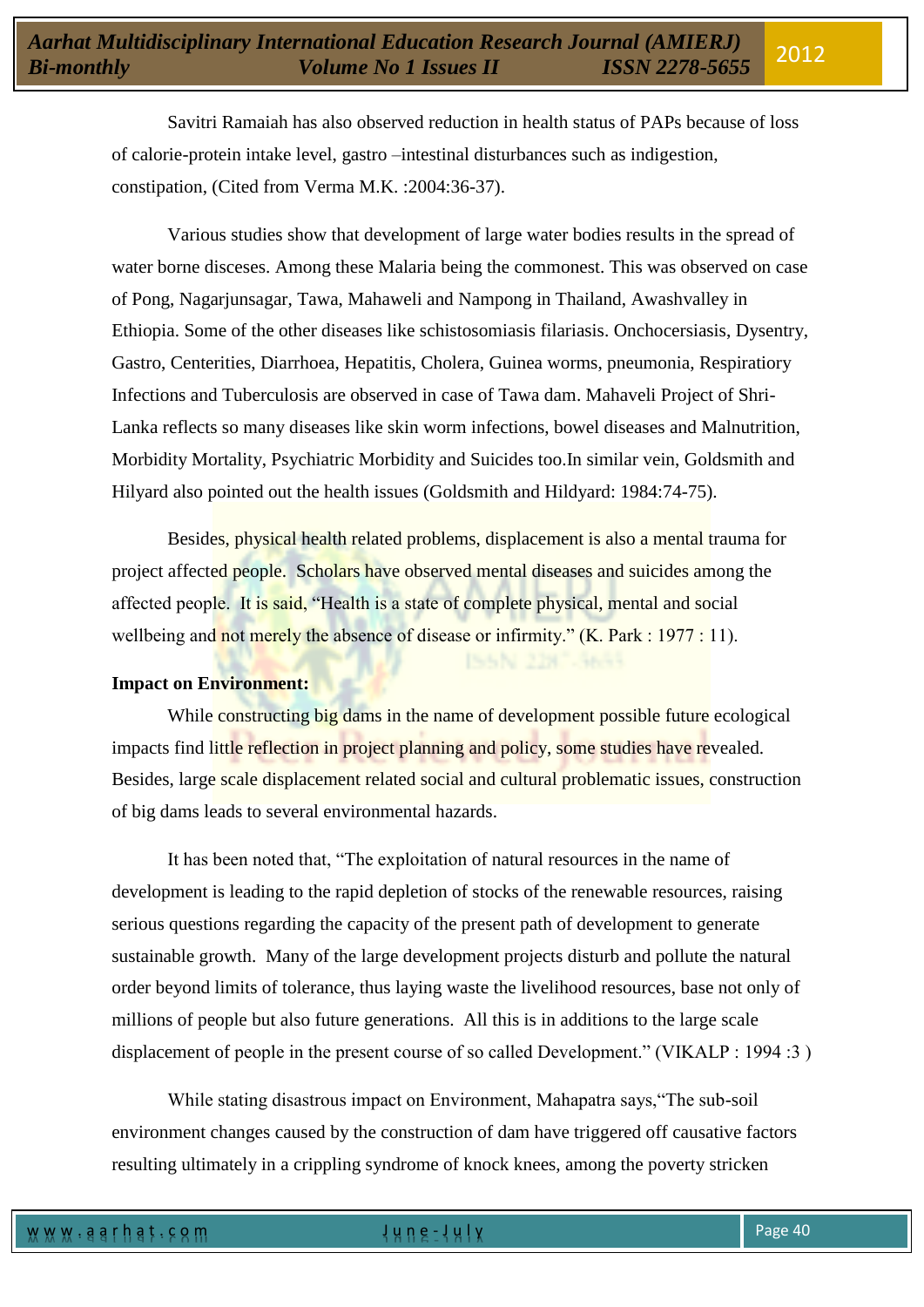Savitri Ramaiah has also observed reduction in health status of PAPs because of loss of calorie-protein intake level, gastro –intestinal disturbances such as indigestion, constipation, (Cited from Verma M.K. :2004:36-37).

Various studies show that development of large water bodies results in the spread of water borne disceses. Among these Malaria being the commonest. This was observed on case of Pong, Nagarjunsagar, Tawa, Mahaweli and Nampong in Thailand, Awashvalley in Ethiopia. Some of the other diseases like schistosomiasis filariasis. Onchocersiasis, Dysentry, Gastro, Centerities, Diarrhoea, Hepatitis, Cholera, Guinea worms, pneumonia, Respiratiory Infections and Tuberculosis are observed in case of Tawa dam. Mahaveli Project of Shri-Lanka reflects so many diseases like skin worm infections, bowel diseases and Malnutrition, Morbidity Mortality, Psychiatric Morbidity and Suicides too.In similar vein, Goldsmith and Hilyard also pointed out the health issues (Goldsmith and Hildyard: 1984:74-75).

Besides, physical health related problems, displacement is also a mental trauma for project affected people. Scholars have observed mental diseases and suicides among the affected people. It is said, "Health is a state of complete physical, mental and social wellbeing and not merely the absence of disease or infirmity." (K. Park : 1977 : 11).

# **Impact on Environment:**

While constructing big dams in the name of development possible future ecological impacts find little reflection in project planning and policy, some studies have revealed. Besides, large scale displacement related social and cultural problematic issues, construction of big dams leads to several environmental hazards.

It has been noted that, "The exploitation of natural resources in the name of development is leading to the rapid depletion of stocks of the renewable resources, raising serious questions regarding the capacity of the present path of development to generate sustainable growth. Many of the large development projects disturb and pollute the natural order beyond limits of tolerance, thus laying waste the livelihood resources, base not only of millions of people but also future generations. All this is in additions to the large scale displacement of people in the present course of so called Development." (VIKALP : 1994 :3 )

While stating disastrous impact on Environment, Mahapatra says,"The sub-soil environment changes caused by the construction of dam have triggered off causative factors resulting ultimately in a crippling syndrome of knock knees, among the poverty stricken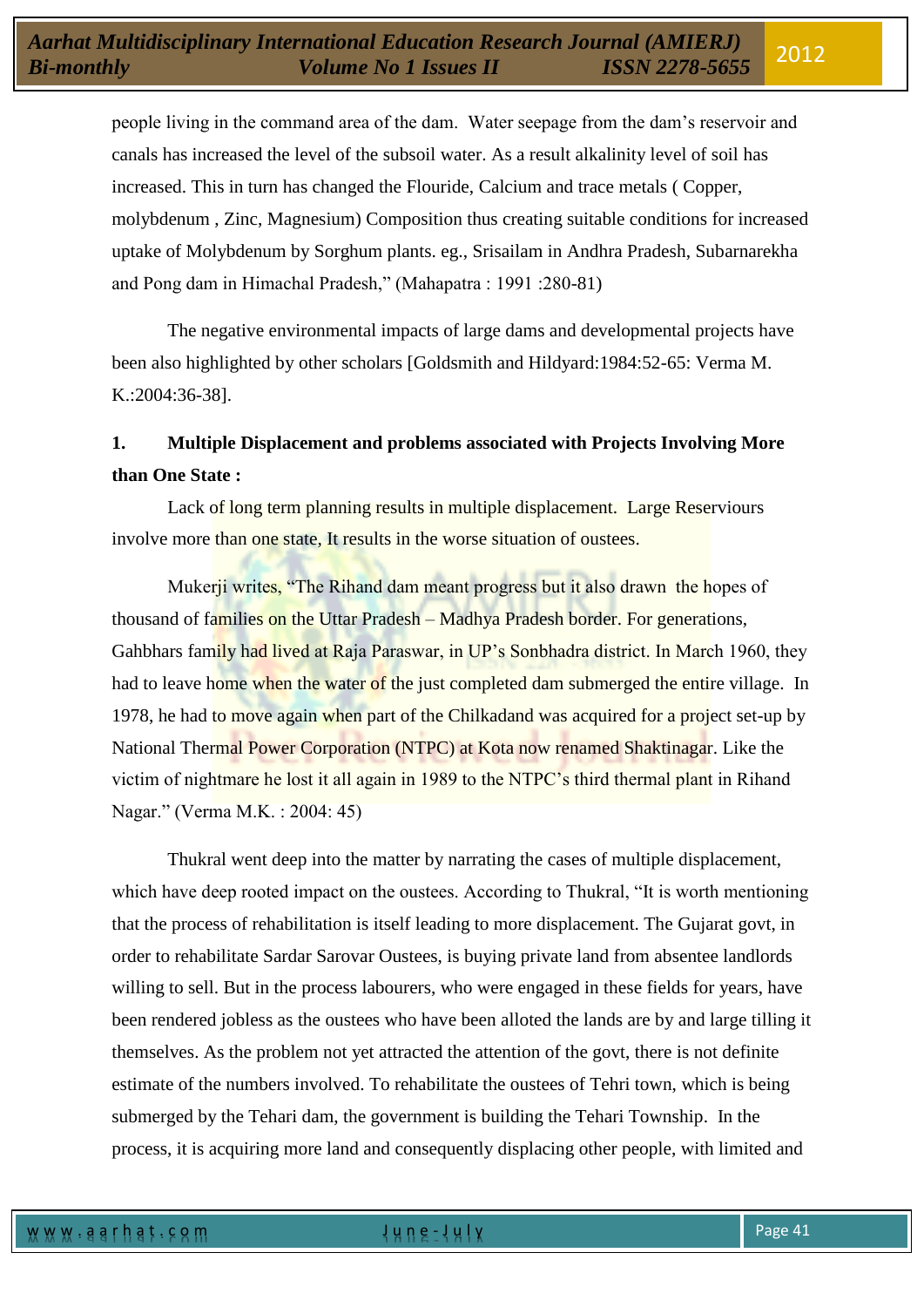people living in the command area of the dam. Water seepage from the dam"s reservoir and canals has increased the level of the subsoil water. As a result alkalinity level of soil has increased. This in turn has changed the Flouride, Calcium and trace metals ( Copper, molybdenum , Zinc, Magnesium) Composition thus creating suitable conditions for increased uptake of Molybdenum by Sorghum plants. eg., Srisailam in Andhra Pradesh, Subarnarekha and Pong dam in Himachal Pradesh," (Mahapatra : 1991 :280-81)

The negative environmental impacts of large dams and developmental projects have been also highlighted by other scholars [Goldsmith and Hildyard:1984:52-65: Verma M. K.:2004:36-38].

# **1. Multiple Displacement and problems associated with Projects Involving More than One State :**

Lack of long term planning results in multiple displacement. Large Reserviours involve more than one state. It results in the worse situation of oustees.

Mukerji writes, "The Rihand dam meant progress but it also drawn the hopes of thousand of families on the Uttar Pradesh – Madhya Pradesh border. For generations, Gahbhars family had lived at Raja Paraswar, in UP"s Sonbhadra district. In March 1960, they had to leave home when the water of the just completed dam submerged the entire village. In 1978, he had to move again when part of the Chilkadand was acquired for a project set-up by National Thermal Power Corporation (NTPC) at Kota now renamed Shaktinagar. Like the victim of nightmare he lost it all again in 1989 to the NTPC"s third thermal plant in Rihand Nagar." (Verma M.K. : 2004: 45)

Thukral went deep into the matter by narrating the cases of multiple displacement, which have deep rooted impact on the oustees. According to Thukral, "It is worth mentioning that the process of rehabilitation is itself leading to more displacement. The Gujarat govt, in order to rehabilitate Sardar Sarovar Oustees, is buying private land from absentee landlords willing to sell. But in the process labourers, who were engaged in these fields for years, have been rendered jobless as the oustees who have been alloted the lands are by and large tilling it themselves. As the problem not yet attracted the attention of the govt, there is not definite estimate of the numbers involved. To rehabilitate the oustees of Tehri town, which is being submerged by the Tehari dam, the government is building the Tehari Township. In the process, it is acquiring more land and consequently displacing other people, with limited and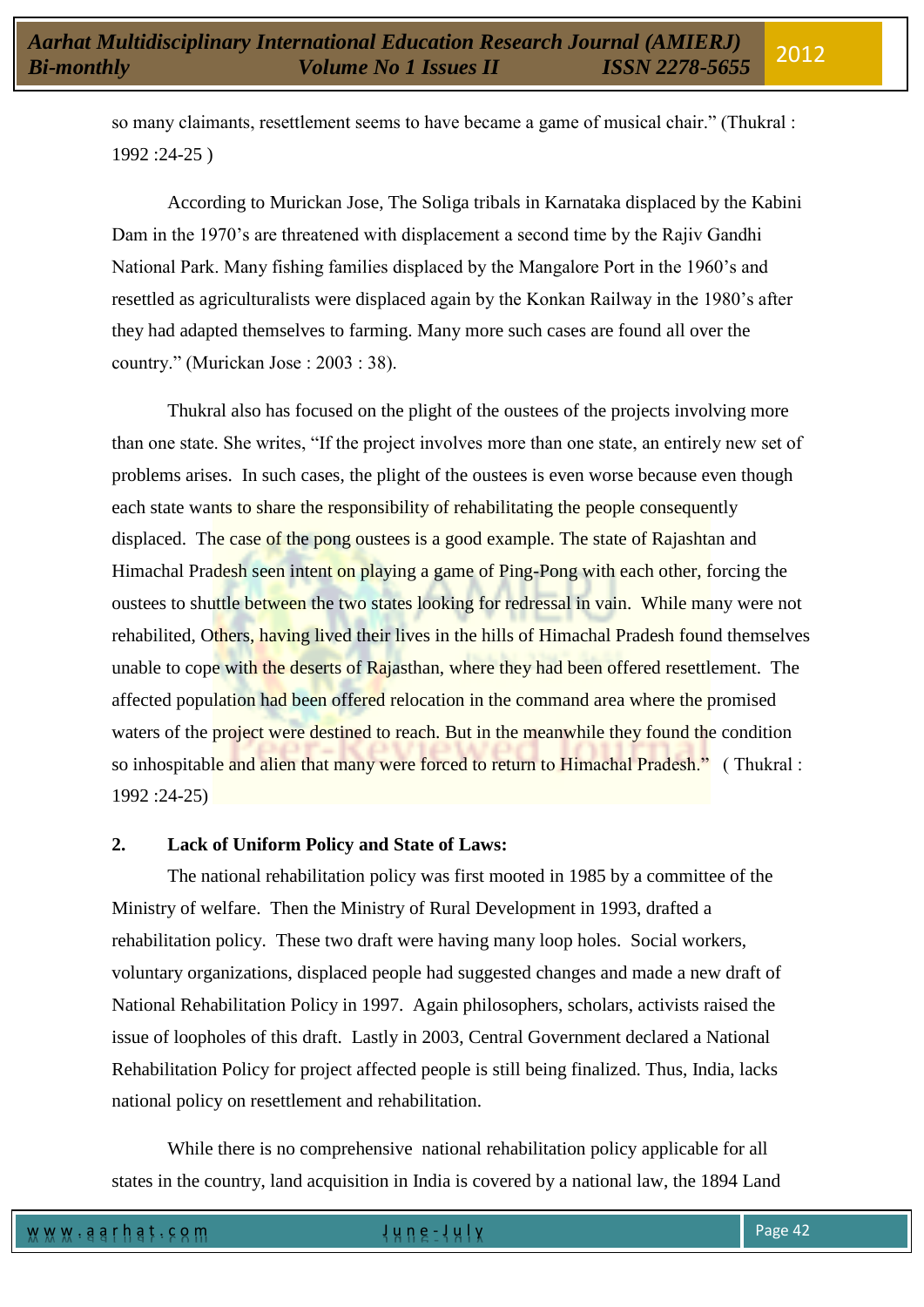so many claimants, resettlement seems to have became a game of musical chair." (Thukral : 1992 :24-25 )

According to Murickan Jose, The Soliga tribals in Karnataka displaced by the Kabini Dam in the 1970's are threatened with displacement a second time by the Rajiv Gandhi National Park. Many fishing families displaced by the Mangalore Port in the 1960"s and resettled as agriculturalists were displaced again by the Konkan Railway in the 1980"s after they had adapted themselves to farming. Many more such cases are found all over the country." (Murickan Jose : 2003 : 38).

Thukral also has focused on the plight of the oustees of the projects involving more than one state. She writes, "If the project involves more than one state, an entirely new set of problems arises. In such cases, the plight of the oustees is even worse because even though each state wants to share the responsibility of rehabilitating the people consequently displaced. The case of the pong oustees is a good example. The state of Rajashtan and Himachal Pradesh seen intent on playing a game of Ping-Pong with each other, forcing the oustees to shuttle between the two states looking for redressal in vain. While many were not rehabilited, Others, having lived their lives in the hills of Himachal Pradesh found themselves unable to cope with the deserts of Rajasthan, where they had been offered resettlement. The affected population had been offered relocation in the command area where the promised waters of the project were destined to reach. But in the meanwhile they found the condition so inhospitable and alien that many were forced to return to Himachal Pradesh." (Thukral: 1992 :24-25)

# **2. Lack of Uniform Policy and State of Laws:**

The national rehabilitation policy was first mooted in 1985 by a committee of the Ministry of welfare. Then the Ministry of Rural Development in 1993, drafted a rehabilitation policy. These two draft were having many loop holes. Social workers, voluntary organizations, displaced people had suggested changes and made a new draft of National Rehabilitation Policy in 1997. Again philosophers, scholars, activists raised the issue of loopholes of this draft. Lastly in 2003, Central Government declared a National Rehabilitation Policy for project affected people is still being finalized. Thus, India, lacks national policy on resettlement and rehabilitation.

While there is no comprehensive national rehabilitation policy applicable for all states in the country, land acquisition in India is covered by a national law, the 1894 Land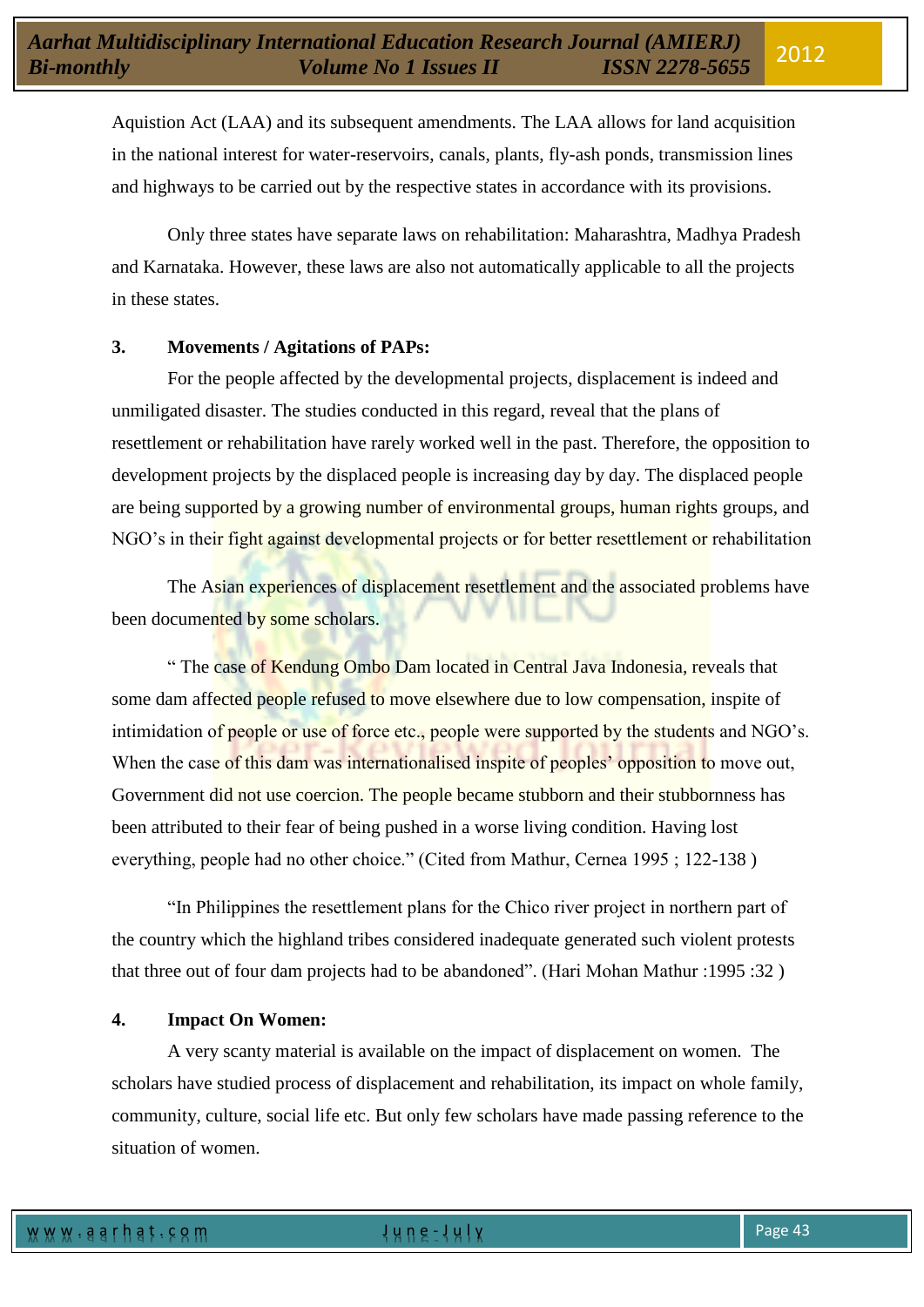Aquistion Act (LAA) and its subsequent amendments. The LAA allows for land acquisition in the national interest for water-reservoirs, canals, plants, fly-ash ponds, transmission lines and highways to be carried out by the respective states in accordance with its provisions.

Only three states have separate laws on rehabilitation: Maharashtra, Madhya Pradesh and Karnataka. However, these laws are also not automatically applicable to all the projects in these states.

# **3. Movements / Agitations of PAPs:**

For the people affected by the developmental projects, displacement is indeed and unmiligated disaster. The studies conducted in this regard, reveal that the plans of resettlement or rehabilitation have rarely worked well in the past. Therefore, the opposition to development projects by the displaced people is increasing day by day. The displaced people are being supported by a growing number of environmental groups, human rights groups, and NGO"s in their fight against developmental projects or for better resettlement or rehabilitation

The Asian experiences of displacement resettlement and the associated problems have been documented by some scholars.

" The case of Kendung Ombo Dam located in Central Java Indonesia, reveals that some dam affected people refused to move elsewhere due to low compensation, inspite of intimidation of people or use of force etc., people were supported by the students and NGO's. When the case of this dam was internationalised inspite of peoples' opposition to move out, Government did not use coercion. The people became stubborn and their stubbornness has been attributed to their fear of being pushed in a worse living condition. Having lost everything, people had no other choice." (Cited from Mathur, Cernea 1995 ; 122-138 )

"In Philippines the resettlement plans for the Chico river project in northern part of the country which the highland tribes considered inadequate generated such violent protests that three out of four dam projects had to be abandoned". (Hari Mohan Mathur :1995 :32 )

# **4. Impact On Women:**

A very scanty material is available on the impact of displacement on women. The scholars have studied process of displacement and rehabilitation, its impact on whole family, community, culture, social life etc. But only few scholars have made passing reference to the situation of women.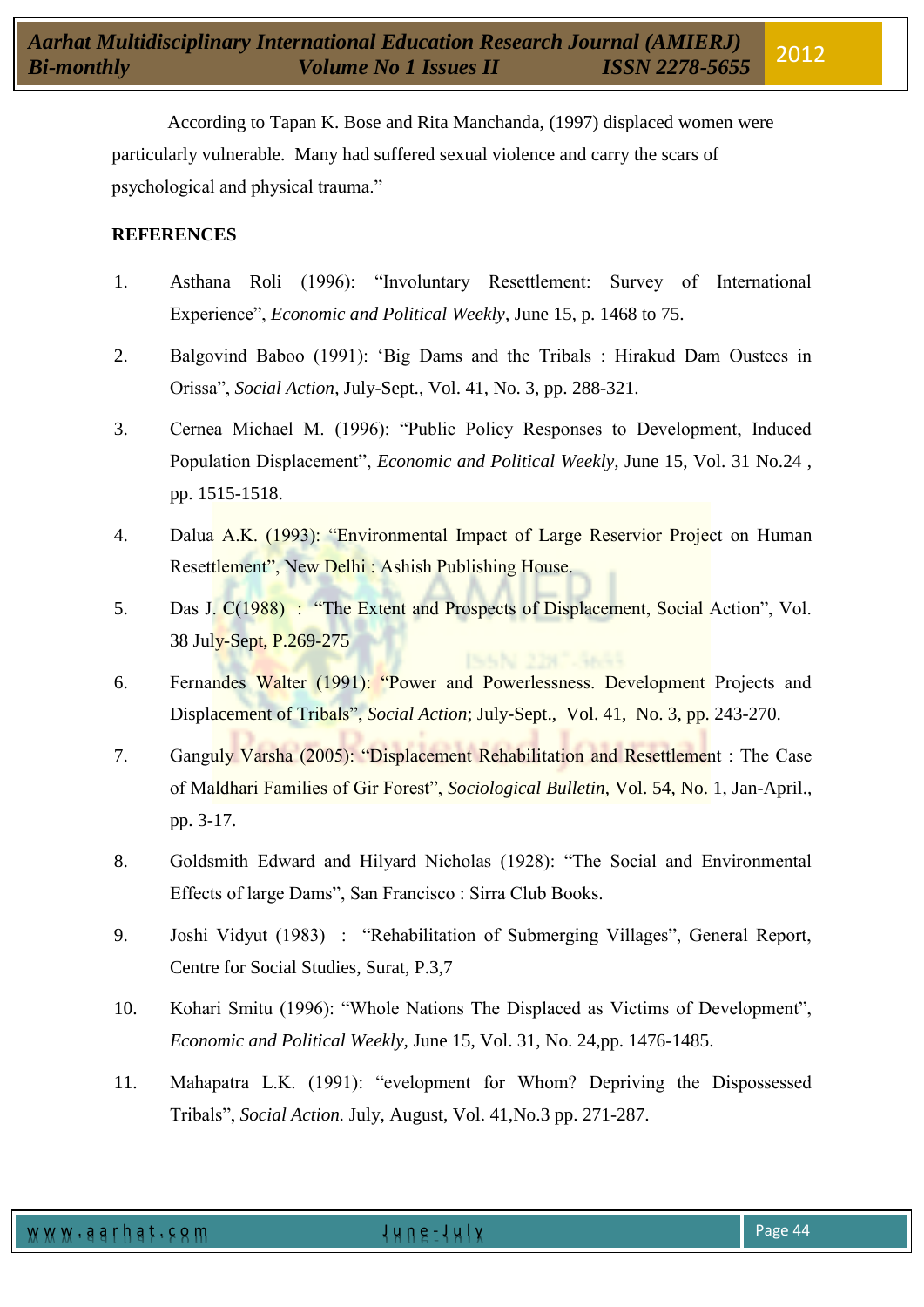According to Tapan K. Bose and Rita Manchanda, (1997) displaced women were particularly vulnerable. Many had suffered sexual violence and carry the scars of psychological and physical trauma."

# **REFERENCES**

- 1. Asthana Roli (1996): "Involuntary Resettlement: Survey of International Experience", *Economic and Political Weekly*, June 15, p. 1468 to 75.
- 2. Balgovind Baboo (1991): "Big Dams and the Tribals : Hirakud Dam Oustees in Orissa", *Social Action*, July-Sept., Vol. 41, No. 3, pp. 288-321.
- 3. Cernea Michael M. (1996): "Public Policy Responses to Development, Induced Population Displacement", *Economic and Political Weekly,* June 15, Vol. 31 No.24 , pp. 1515-1518.
- 4. Dalua A.K. (1993): "Environmental Impact of Large Reservior Project on Human Resettlement", New Delhi : Ashish Publishing House.
- 5. Das J. C(1988) : "The Extent and Prospects of Displacement, Social Action", Vol. 38 July-Sept, P.269-275
- 6. Fernandes Walter (1991): "Power and Powerlessness. Development Projects and Displacement of Tribals", *Social Action*; July-Sept., Vol. 41, No. 3, pp. 243-270.
- 7. Ganguly Varsha (2005): "Displacement Rehabilitation and Resettlement : The Case of Maldhari Families of Gir Forest", *Sociological Bulletin*, Vol. 54, No. 1, Jan-April., pp. 3-17.
- 8. Goldsmith Edward and Hilyard Nicholas (1928): "The Social and Environmental Effects of large Dams", San Francisco : Sirra Club Books.
- 9. Joshi Vidyut (1983) : "Rehabilitation of Submerging Villages", General Report, Centre for Social Studies, Surat, P.3,7
- 10. Kohari Smitu (1996): "Whole Nations The Displaced as Victims of Development", *Economic and Political Weekly,* June 15, Vol. 31, No. 24,pp. 1476-1485.
- 11. Mahapatra L.K. (1991): "evelopment for Whom? Depriving the Dispossessed Tribals", *Social Action.* July, August, Vol. 41,No.3 pp. 271-287.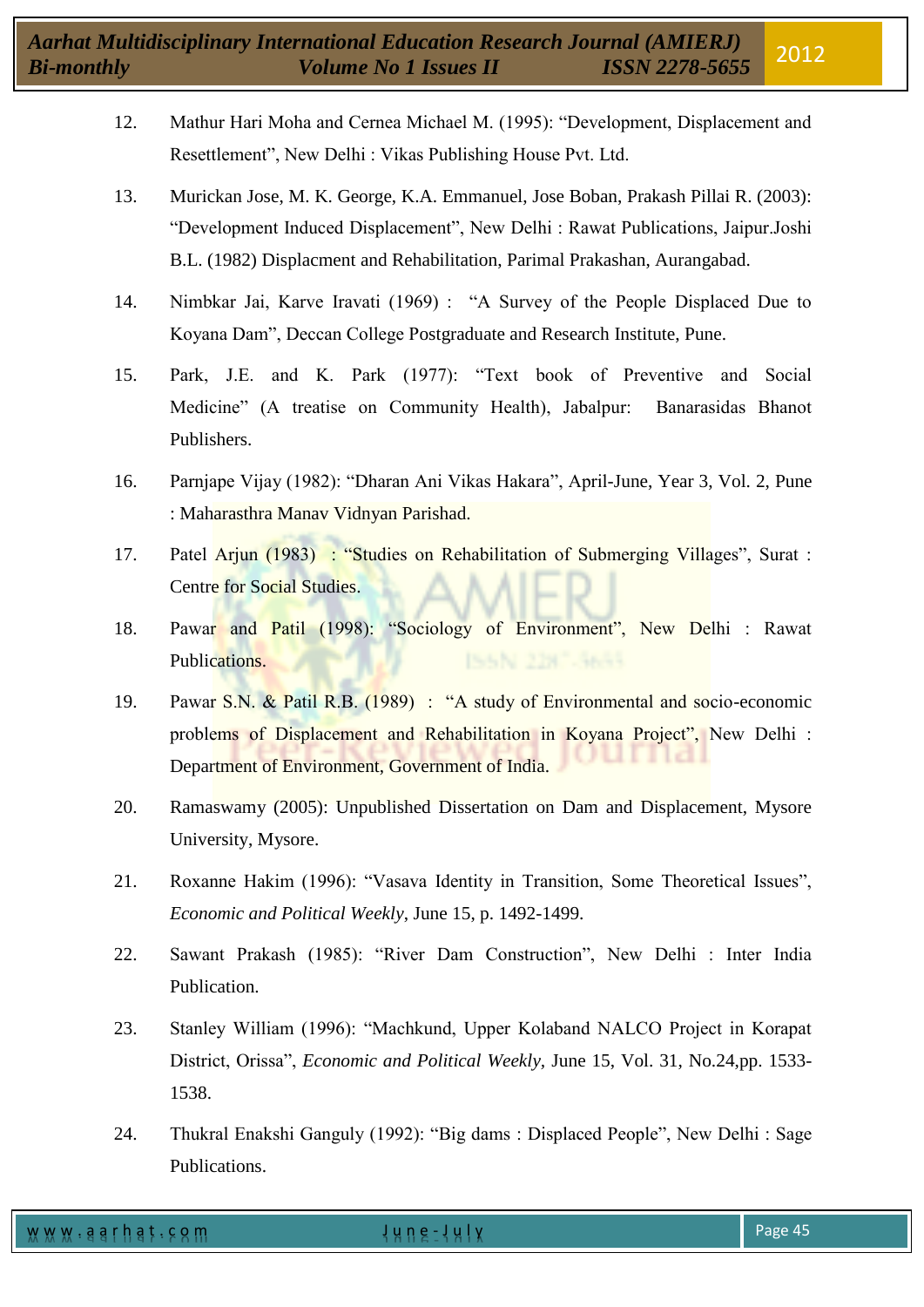- 12. Mathur Hari Moha and Cernea Michael M. (1995): "Development, Displacement and Resettlement", New Delhi : Vikas Publishing House Pvt. Ltd.
- 13. Murickan Jose, M. K. George, K.A. Emmanuel, Jose Boban, Prakash Pillai R. (2003): "Development Induced Displacement", New Delhi : Rawat Publications, Jaipur.Joshi B.L. (1982) Displacment and Rehabilitation, Parimal Prakashan, Aurangabad.
- 14. Nimbkar Jai, Karve Iravati (1969) : "A Survey of the People Displaced Due to Koyana Dam", Deccan College Postgraduate and Research Institute, Pune.
- 15. Park, J.E. and K. Park (1977): "Text book of Preventive and Social Medicine" (A treatise on Community Health), Jabalpur: Banarasidas Bhanot Publishers.
- 16. Parnjape Vijay (1982): "Dharan Ani Vikas Hakara", April-June, Year 3, Vol. 2, Pune : Maharasthra Manav Vidnyan Parishad.
- 17. Patel Arjun (1983) : "Studies on Rehabilitation of Submerging Villages", Surat : Centre for Social Studies.
- 18. Pawar and Patil (1998): "Sociology of Environment", New Delhi : Rawat Publications.
- 19. Pawar S.N. & Patil R.B. (1989) : "A study of Environmental and socio-economic problems of Displacement and Rehabilitation in Koyana Project", New Delhi : Department of Environment, Government of India.
- 20. Ramaswamy (2005): Unpublished Dissertation on Dam and Displacement, Mysore University, Mysore.
- 21. Roxanne Hakim (1996): "Vasava Identity in Transition, Some Theoretical Issues", *Economic and Political Weekly*, June 15, p. 1492-1499.
- 22. Sawant Prakash (1985): "River Dam Construction", New Delhi : Inter India Publication.
- 23. Stanley William (1996): "Machkund, Upper Kolaband NALCO Project in Korapat District, Orissa", *Economic and Political Weekly,* June 15, Vol. 31, No.24,pp. 1533- 1538.
- 24. Thukral Enakshi Ganguly (1992): "Big dams : Displaced People", New Delhi : Sage Publications.